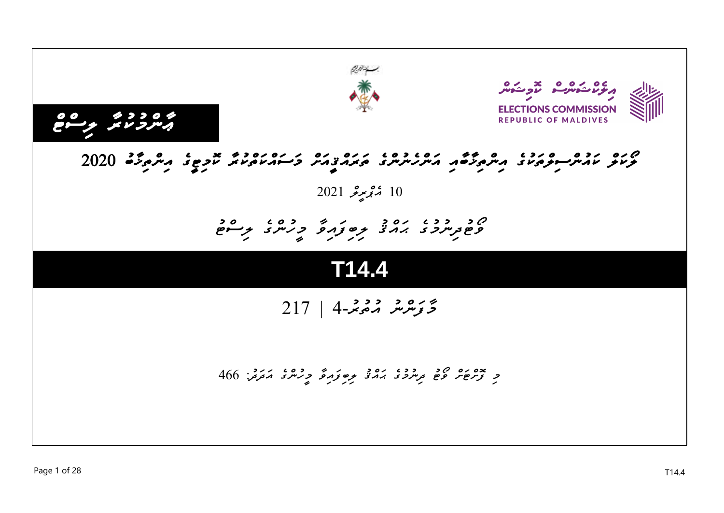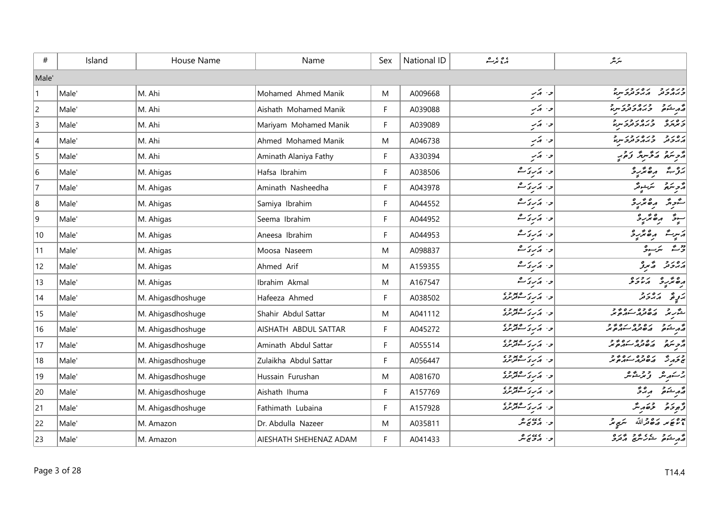| #              | Island | House Name        | Name                   | Sex       | National ID | ېره پر شه                                    | ىئرىتر                                       |
|----------------|--------|-------------------|------------------------|-----------|-------------|----------------------------------------------|----------------------------------------------|
| Male'          |        |                   |                        |           |             |                                              |                                              |
|                | Male'  | M. Ahi            | Mohamed Ahmed Manik    | M         | A009668     | و• مەر                                       | כנסני נסנינים                                |
| $\overline{c}$ | Male'  | M. Ahi            | Aishath Mohamed Manik  | F         | A039088     | ە بەر                                        | و مشور ورور در در                            |
| 3              | Male'  | M. Ahi            | Mariyam Mohamed Manik  | F         | A039089     | و• مەر                                       | ג סגם פג סג כגער.<br>במחגב בגמבניבייטי       |
| 4              | Male'  | M. Ahi            | Ahmed Mohamed Manik    | M         | A046738     | ە بەر                                        | גפג כ כגסגבג כ<br>גגבת כגתכתכתית             |
| 5              | Male'  | M. Ahi            | Aminath Alaniya Fathy  | F         | A330394     | وستركر                                       | أزويته أكريتك والمجم                         |
| 6              | Male'  | M. Ahigas         | Hafsa Ibrahim          | F         | A038506     | ە بە ئەيدىم ك                                | بروية مصريرة                                 |
| $\overline{7}$ | Male'  | M. Ahigas         | Aminath Nasheedha      | F         | A043978     | ە . ئەر <sub>ى</sub> ئە                      | أأترسكم الكرشوقر                             |
| $\bf 8$        | Male'  | M. Ahigas         | Samiya Ibrahim         | F         | A044552     | ە بە ئەيدىم ك                                | گردگر مره گردگر                              |
| 9              | Male'  | M. Ahigas         | Seema Ibrahim          | F         | A044952     | ە . ئەر <sub>ى</sub> ئە                      | 5, 50, 5                                     |
| 10             | Male'  | M. Ahigas         | Aneesa Ibrahim         | F         | A044953     | د . م <i>ذب</i> وَ ک                         |                                              |
| 11             | Male'  | M. Ahigas         | Moosa Naseem           | ${\sf M}$ | A098837     | د . م <i>ذب</i> ری ک                         | ر پيءِ موس <sub>و</sub> و<br>ا               |
| 12             | Male'  | M. Ahigas         | Ahmed Arif             | ${\sf M}$ | A159355     | د · مەرئەت<br>م                              | پر و و<br>  پر پر و تر<br>ەربىرى             |
| 13             | Male'  | M. Ahigas         | Ibrahim Akmal          | M         | A167547     | د . مړنړ شه                                  |                                              |
| 14             | Male'  | M. Ahigasdhoshuge | Hafeeza Ahmed          | F         | A038502     | ه ۱۰ م کری مسجد و بر<br> - د م کری مسجد ترین | برَوٍ يُو در د                               |
| 15             | Male'  | M. Ahigasdhoshuge | Shahir Abdul Sattar    | ${\sf M}$ | A041112     | و٠ مرکز صور و ›<br>د ۱ مرکز سوتولوی          | شر د ده ده ده دور<br>شرر پره ترجمه           |
| 16             | Male'  | M. Ahigasdhoshuge | AISHATH ABDUL SATTAR   | F         | A045272     | و٠ دکرری سودرو د<br>د ۱ دکرری سودروری        | ه در ده ده ده ده دو<br>په شوه په هند سهره پر |
| 17             | Male'  | M. Ahigasdhoshuge | Aminath Abdul Sattar   | F         | A055514     | و٠ دکرری سوتورو د<br>د ۱ دکرری سوتوروی       | د ده ده ده ده ده د                           |
| 18             | Male'  | M. Ahigasdhoshuge | Zulaikha Abdul Sattar  | F         | A056447     | و٠ دکرری سودرو د<br>د ۰ دکرری سودروری        | 22010202 2022                                |
| 19             | Male'  | M. Ahigasdhoshuge | Hussain Furushan       | ${\sf M}$ | A081670     | و٠ دکرری سوتورو د<br>د ۱ دکرری سوتوروی       | برسكريش وحرجتمش                              |
| 20             | Male'  | M. Ahigasdhoshuge | Aishath Ihuma          | F         | A157769     | و٠ کړيو کولووه<br>د کړي                      | وكرو المرادة                                 |
| 21             | Male'  | M. Ahigasdhoshuge | Fathimath Lubaina      | F         | A157928     | و٠ دکرری سودرو د و د<br>د ۱۰ دکری سودروری    | ژوده دەرىر                                   |
| 22             | Male'  | M. Amazon         | Dr. Abdulla Nazeer     | M         | A035811     | ے پر دی رہ<br>د ۱ امریکی س                   | بده بر بره دالله سمع مر                      |
| 23             | Male'  | M. Amazon         | AIESHATH SHEHENAZ ADAM | F         | A041433     | ے پر دے مگر<br>ح• مرحبے مگر                  | أشهر شده و دره                               |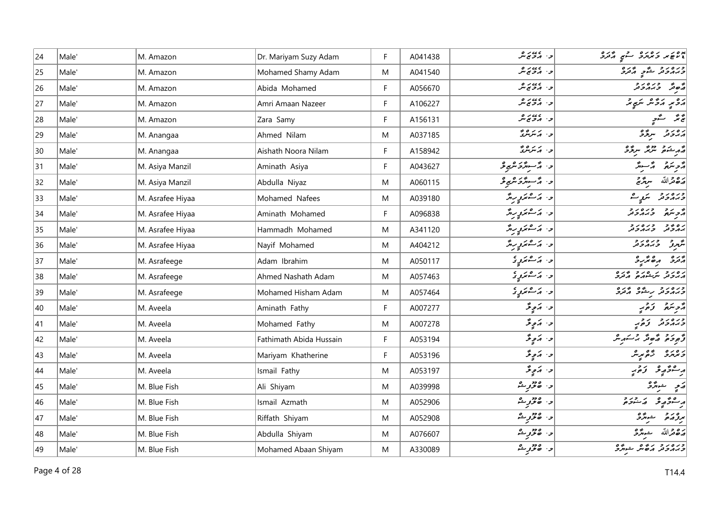| 24           | Male' | M. Amazon        | Dr. Mariyam Suzy Adam   | F         | A041438 | د ، مردم شر                                            | بده د بر د دره دره بردره<br>۱۶ نوع بر و برورو کرد بر |
|--------------|-------|------------------|-------------------------|-----------|---------|--------------------------------------------------------|------------------------------------------------------|
| 25           | Male' | M. Amazon        | Mohamed Shamy Adam      | M         | A041540 | د مصره<br>د مردمخ ش                                    | ورەرو ئەرە بورە                                      |
| 26           | Male' | M. Amazon        | Abida Mohamed           | F         | A056670 | ے پر دی رہ<br>د ۱ مرد ہے س                             | أشهر وره دو                                          |
| 27           | Male' | M. Amazon        | Amri Amaan Nazeer       | F         | A106227 | ے پر دے<br>و• مرد نع ش                                 | גף גלית האת ה                                        |
| 28           | Male' | M. Amazon        | Zara Samy               | F         | A156131 | ے پر دے<br>و• مرد نح س                                 | تج تم ستموي                                          |
| 29           | Male' | M. Anangaa       | Ahmed Nilam             | M         | A037185 | و٠ د سرسري                                             | رەرد بردۇ                                            |
| 30           | Male' | M. Anangaa       | Aishath Noora Nilam     | F         | A158942 | و٠ د سرسري                                             | أصمر شوه المسترجم المرتجر                            |
| 31           | Male' | M. Asiya Manzil  | Aminath Asiya           | F         | A043627 | ى بۇ سە <i>نگەنگىنى</i> ئى                             | أرمح سنعو أرائبه وتراثر                              |
| 32           | Male' | M. Asiya Manzil  | Abdulla Niyaz           | ${\sf M}$ | A060115 | د . ئ <i>ۇسىر ئەڭ ئىرى</i> ئى                          | 50 محمدالله سرمزیم                                   |
| 33           | Male' | M. Asrafee Hiyaa | Mohamed Nafees          | M         | A039180 | د · م سومگرو پر پژ                                     | دره در د سربي ه                                      |
| 34           | Male' | M. Asrafee Hiyaa | Aminath Mohamed         | F         | A096838 | <sub>د ·</sub> م <sup>ر</sup> شوئد پ <sub>و</sub> ر پژ | أمر وره دره                                          |
| 35           | Male' | M. Asrafee Hiyaa | Hammadh Mohamed         | ${\sf M}$ | A341120 | د · مەسىمىتى بەرگە                                     | ره ۶ وره رو<br>برمرکس تربرمرکس                       |
| 36           | Male' | M. Asrafee Hiyaa | Nayif Mohamed           | M         | A404212 | د · م سوئد پورېژ                                       | أشرو ورورد                                           |
| 37           | Male' | M. Asrafeege     | Adam Ibrahim            | M         | A050117 | د . م <i>ر ش</i> مر <sub>کو</sub> ر                    | أرمزد مصرير                                          |
| 38           | Male' | M. Asrafeege     | Ahmed Nashath Adam      | M         | A057463 | د . ئەس <sup>مى</sup> دى <sub>ر</sub> ى                | ر ور و برده د و در و                                 |
| 39           | Male' | M. Asrafeege     | Mohamed Hisham Adam     | ${\sf M}$ | A057464 | <sub>و</sub> . پر عبرې په                              | ورەرو رىشى ئەرە                                      |
| 40           | Male' | M. Aveela        | Aminath Fathy           | F         | A007277 | <sub>ح</sub> . مَءٍ قَر                                | أأزجر سكتم وأحربها                                   |
| 41           | Male' | M. Aveela        | Mohamed Fathy           | M         | A007278 | <sub>ى: م</sub> ەھمەتى                                 | و ره ر د و د و<br>د بر بر د و وبر                    |
| 42           | Male' | M. Aveela        | Fathimath Abida Hussain | F         | A053194 | <sub>ى: م</sub> ەھرىچە                                 | 323222                                               |
| $ 43\rangle$ | Male' | M. Aveela        | Mariyam Khatherine      | F         | A053196 | <sub>ح</sub> . برَ <sub>حٍ م</sub> حَّر                | رەرە بەەيرىر                                         |
| 44           | Male' | M. Aveela        | Ismail Fathy            | M         | A053197 | والمكامي قم                                            | أراع ومحمد والمحمد                                   |
| 45           | Male' | M. Blue Fish     | Ali Shiyam              | M         | A039998 | و، ھۆرىش                                               | أرشح المشرور                                         |
| 46           | Male' | M. Blue Fish     | Ismail Azmath           | M         | A052906 | د . <i>هڅو</i> ځه                                      | وستوصف وسنعوض                                        |
| 47           | Male' | M. Blue Fish     | Riffath Shiyam          | ${\sf M}$ | A052908 | د. گۇنوپ                                               | بروره و شوروه                                        |
| 48           | Male' | M. Blue Fish     | Abdulla Shiyam          | M         | A076607 | و. ھۇرىشە                                              | برة قرالله خو <i>مرد</i>                             |
| 49           | Male' | M. Blue Fish     | Mohamed Abaan Shiyam    | M         | A330089 | <mark>و. ھڅوب</mark> ه                                 | 2010 - 2010 - 2017<br>2010 - 2010 - 2010 - 2010      |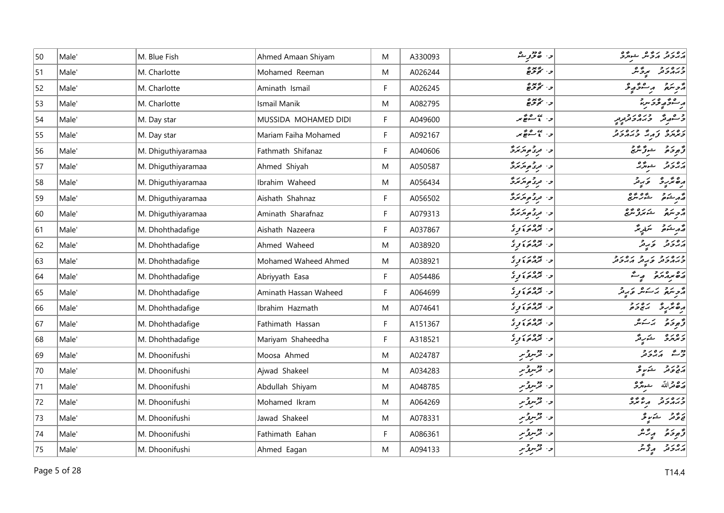| 50 | Male' | M. Blue Fish       | Ahmed Amaan Shiyam    | M  | A330093 | و. ھۆرىيە                                              | رور د رو په شورگر                         |
|----|-------|--------------------|-----------------------|----|---------|--------------------------------------------------------|-------------------------------------------|
| 51 | Male' | M. Charlotte       | Mohamed Reeman        | M  | A026244 | و · گوگره<br>و · گوگره                                 | ورەرو برۇش                                |
| 52 | Male' | M. Charlotte       | Aminath Ismail        | F. | A026245 | $\begin{bmatrix} 0 & x & x \\ y & z & z \end{bmatrix}$ | مُرْحِسَمَ مِنْ مِحْمَدٍ حَمْ             |
| 53 | Male' | M. Charlotte       | Ismail Manik          | M  | A082795 | و به گاه چ                                             | ار جنگو توکر برد <sup>2</sup>             |
| 54 | Male' | M. Day star        | MUSSIDA MOHAMED DIDI  | F  | A049600 | ح به عن ه هم محر<br>ح به عن <mark>س</mark> م ها مو     |                                           |
| 55 | Male' | M. Day star        | Mariam Faiha Mohamed  | F  | A092167 | ر بي صحيح بر                                           |                                           |
| 56 | Male' | M. Dhiguthiyaramaa | Fathmath Shifanaz     | F  | A040606 | و . مر <sub>و</sub> م مرکز گر                          | أرموحا محسورة مترجم                       |
| 57 | Male' | M. Dhiguthiyaramaa | Ahmed Shiyah          | M  | A050587 | و . مر <sub>و</sub> ح و کر کر د                        | رەرد شەر                                  |
| 58 | Male' | M. Dhiguthiyaramaa | Ibrahim Waheed        | M  | A056434 | و . در د و پر پر د                                     | وە ئۇرۇ كەرلىر                            |
| 59 | Male' | M. Dhiguthiyaramaa | Aishath Shahnaz       | F  | A056502 | و . در د و پر بر د                                     | ه در در ده ده<br>مارشومی شرکتری           |
| 60 | Male' | M. Dhiguthiyaramaa | Aminath Sharafnaz     | F. | A079313 | د ۰ دره و تر برگ                                       | د بره دره ده و ده<br>مرد سور شورو سرد     |
| 61 | Male' | M. Dhohthadafige   | Aishath Nazeera       | F  | A037867 | د به ده در با<br>د ترموناتور                           | وكركو تكفرنك                              |
| 62 | Male' | M. Dhohthadafige   | Ahmed Waheed          | M  | A038920 | د بوه را را م<br>د ترمونا تور                          | ره رو درو<br>مرکز و کارم                  |
| 63 | Male' | M. Dhohthadafige   | Mohamed Waheed Ahmed  | M  | A038921 | د . تر <i>مرد .</i><br>د . تر <i>مرد و د د</i>         | ورەر د پر د رور د<br>دېرمرحتر کوير مهرحتر |
| 64 | Male' | M. Dhohthadafige   | Abriyyath Easa        | F  | A054486 | د بوه را را م<br>د ترمونا تور                          | Le sinsen                                 |
| 65 | Male' | M. Dhohthadafige   | Aminath Hassan Waheed | F  | A064699 | د . محرور د .<br>د . محرد هره د بر                     | ۇ ئەستىم ئەسكەش ئەيدىگە                   |
| 66 | Male' | M. Dhohthadafige   | Ibrahim Hazmath       | M  | A074641 | <sub>و</sub> . بره در پا                               | مەھگرو بەدە                               |
| 67 | Male' | M. Dhohthadafige   | Fathimath Hassan      | F. | A151367 | بره در ر<br>د گرده د در                                | ۇ بۇرە بەسكەش                             |
| 68 | Male' | M. Dhohthadafige   | Mariyam Shaheedha     | F  | A318521 | ه به مرد با<br>د افرا <i>زه و و د</i>                  | و صرح شمریمر                              |
| 69 | Male' | M. Dhoonifushi     | Moosa Ahmed           | M  | A024787 | د . قرمبر تر<br>م                                      | وحرث أبراه ورواح                          |
| 70 | Male' | M. Dhoonifushi     | Ajwad Shakeel         | M  | A034283 | د. نژمبرژ مر                                           | أرورو بشريده                              |
| 71 | Male' | M. Dhoonifushi     | Abdullah Shiyam       | M  | A048785 | ح التحري <i>س في م</i> ر                               | مَرْهُ قَرَاللّه شَعْمَرْتُرْ             |
| 72 | Male' | M. Dhoonifushi     | Mohamed Ikram         | M  | A064269 | و به فرسر توسیر<br>مرگ                                 | כנסנכ הסיבים<br>כמהכת העיבב               |
| 73 | Male' | M. Dhoonifushi     | Jawad Shakeel         | M  | A078331 | د . قرمرو مر                                           | ر و د<br>قع قرص سنتمبر ش                  |
| 74 | Male' | M. Dhoonifushi     | Fathimath Eahan       | F. | A086361 | د . قرمرو <sub>مر</sub>                                | وٌوِدَهُ پِرِ سُر                         |
| 75 | Male' | M. Dhoonifushi     | Ahmed Eagan           | M  | A094133 | د <sub>:</sub> تژمرتر <sub>مر</sub>                    | أرەر دۇش                                  |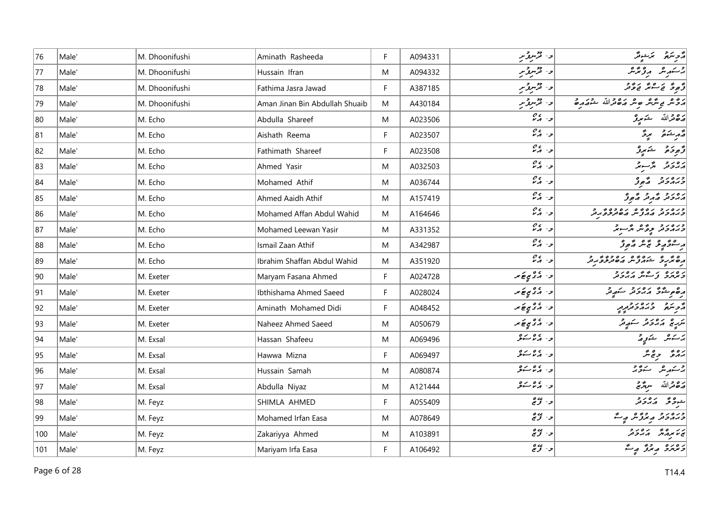| 76  | Male' | M. Dhoonifushi | Aminath Rasheeda               | F         | A094331 | و. قرمبر قرمر                                                                          | ە ئەرەپتە ئەسپەتىر<br>مەرىبى ئەرەپتى<br>مەسىر ئەرەپتى       |
|-----|-------|----------------|--------------------------------|-----------|---------|----------------------------------------------------------------------------------------|-------------------------------------------------------------|
| 77  | Male' | M. Dhoonifushi | Hussain Ifran                  | M         | A094332 | <br> - مُرْسِدُ سِ                                                                     |                                                             |
| 78  | Male' | M. Dhoonifushi | Fathima Jasra Jawad            | F         | A387185 | وستقبلتر فمر                                                                           | توجو تح سوتر بروج                                           |
| 79  | Male' | M. Dhoonifushi | Aman Jinan Bin Abdullah Shuaib | M         | A430184 | و· قرمبر قرمر                                                                          | روه و غرير و مرودالله شور و                                 |
| 80  | Male' | M. Echo        | Abdulla Shareef                | ${\sf M}$ | A023506 | $\overset{\mathcal{C}}{\mathcal{L}}\overset{\mathcal{L}}{\mathcal{A}}\cdot\mathcal{P}$ | أرة فرالله خوميرو                                           |
| 81  | Male' | M. Echo        | Aishath Reema                  | F         | A023507 | $\overset{\mathcal{C}}{\mathcal{L}}\mathcal{A}\cdot\mathcal{I}$                        |                                                             |
| 82  | Male' | M. Echo        | Fathimath Shareef              | F         | A023508 | $\frac{\partial c}{\partial \rho}$ . $\frac{\partial c}{\partial \rho}$                | وُجِرِدَةٍ شَهْرِوْ                                         |
| 83  | Male' | M. Echo        | Ahmed Yasir                    | M         | A032503 | $\overline{\mathcal{C}_{\mathcal{F}}$                                                  | دەرو ئۇسىتى                                                 |
| 84  | Male' | M. Echo        | Mohamed Athif                  | ${\sf M}$ | A036744 | $\frac{\partial c}{\partial \rho}$ . $\frac{\partial c}{\partial \rho}$                | وره رو وه و                                                 |
| 85  | Male' | M. Echo        | Ahmed Aaidh Athif              | M         | A157419 | $\frac{\partial c}{\partial x \cdot \partial y}$                                       | גפגב הגב הבנ                                                |
| 86  | Male' | M. Echo        | Mohamed Affan Abdul Wahid      | M         | A164646 | $\overset{\mathcal{C}}{\mathcal{L}}\overset{\mathcal{C}}{\mathcal{A}}\cdot\mathcal{P}$ |                                                             |
| 87  | Male' | M. Echo        | Mohamed Leewan Yasir           | M         | A331352 | $\begin{vmatrix} 0 & 0 \\ 0 & 0 \end{vmatrix}$                                         | ورەرو پەھە ئۆسىۋ                                            |
| 88  | Male' | M. Echo        | Ismail Zaan Athif              | M         | A342987 | $c_{\lambda}$ . $\lambda$                                                              | رەم ۋە ئەھ ئە                                               |
| 89  | Male' | M. Echo        | Ibrahim Shaffan Abdul Wahid    | ${\sf M}$ | A351920 | $\overset{\mathcal{C}}{\mathcal{L}}\mathcal{S}\cdot\mathcal{S}$                        | ه ده ده ده ده ده ده د د<br>پره تر رو شهروس پره تر ترو بر تر |
| 90  | Male' | M. Exeter      | Maryam Fasana Ahmed            | F         | A024728 |                                                                                        | ره ره به شهر در د                                           |
| 91  | Male' | M. Exeter      | Ibthishama Ahmed Saeed         | F         | A028024 | $ s^{\prime}\rangle$ ر وگریج تنم                                                       | مەھم شىڭ مەدرە سىھەت                                        |
| 92  | Male' | M. Exeter      | Aminath Mohamed Didi           | F         | A048452 | $\left  \begin{array}{c} c & c \\ c & d \end{array} \right $                           | أأدرو وروروبر                                               |
| 93  | Male' | M. Exeter      | Naheez Ahmed Saeed             | M         | A050679 | $\left  \begin{array}{ccc} & c & c \\ & c & c & d \end{array} \right $                 | بترباج ورودو كرياته                                         |
| 94  | Male' | M. Exsal       | Hassan Shafeeu                 | M         | A069496 | ى ئەھمىسكى                                                                             | يركبش الحكمورة                                              |
| 95  | Male' | M. Exsal       | Hawwa Mizna                    | F         | A069497 | د . د ۷ کرو                                                                            | رەپە دېم                                                    |
| 96  | Male' | M. Exsal       | Hussain Samah                  | M         | A080874 | ە ، دىماسىۋ                                                                            | برسكهر شركر والمحر                                          |
| 97  | Male' | M. Exsal       | Abdulla Niyaz                  | M         | A121444 | د . د ۷ کرو                                                                            | مَدْهَ مَّرَ اللَّهُ مَسْتَرَجَّعَ                          |
| 98  | Male' | M. Feyz        | SHIMLA AHMED                   | F         | A055409 | ر به می                                                                                | لمسوفة المترومر                                             |
| 99  | Male' | M. Feyz        | Mohamed Irfan Easa             | ${\sf M}$ | A078649 | و· تۇنج                                                                                | دره در مرومه په ش                                           |
| 100 | Male' | M. Feyz        | Zakariyya Ahmed                | M         | A103891 | و . محرمج                                                                              | גג פי גפגי                                                  |
| 101 | Male' | M. Feyz        | Mariyam Irfa Easa              | F         | A106492 | و· تونج                                                                                | د وره مرورم پرت                                             |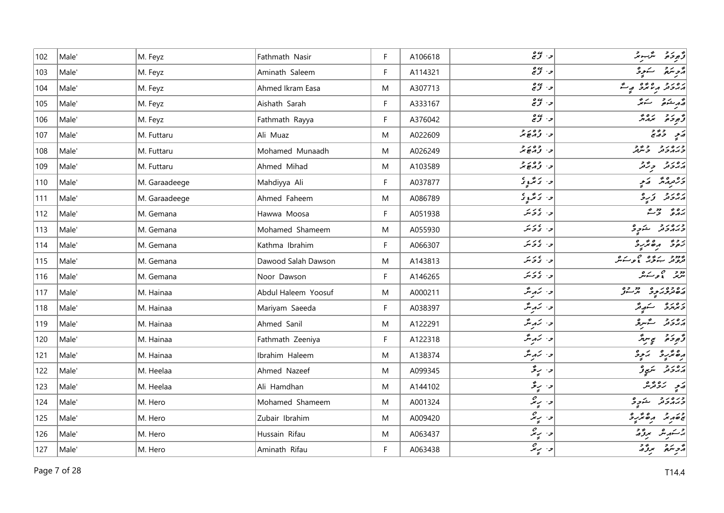| 102 | Male' | M. Feyz       | Fathmath Nasir      | $\mathsf F$ | A106618 | و• تۇنج                                 | ۇ بەر ئەسىر ئەسىر<br>ئىسىمىسى   |
|-----|-------|---------------|---------------------|-------------|---------|-----------------------------------------|---------------------------------|
| 103 | Male' | M. Feyz       | Aminath Saleem      | F           | A114321 | و . نومج                                | أأروبتهم سكود                   |
| 104 | Male' | M. Feyz       | Ahmed Ikram Easa    | M           | A307713 | و• تۇنج                                 | גפגב בשית ביי                   |
| 105 | Male' | M. Feyz       | Aishath Sarah       | F           | A333167 | و• تۇنج                                 | أقهر شوقو ستغثر                 |
| 106 | Male' | M. Feyz       | Fathmath Rayya      | F           | A376042 | و· تۇنج                                 | توجدة بره بو                    |
| 107 | Male' | M. Futtaru    | Ali Muaz            | M           | A022609 | כי נמשיק                                | $5.53 - 2.8$                    |
| 108 | Male' | M. Futtaru    | Mohamed Munaadh     | M           | A026249 | د. دورې د                               | ورەر د دەد                      |
| 109 | Male' | M. Futtaru    | Ahmed Mihad         | M           | A103589 | ر ده در                                 | پره پر ورتو                     |
| 110 | Male' | M. Garaadeege | Mahdiyya Ali        | $\mathsf F$ | A037877 | د . ئەنگ <sub>ى</sub> دى                | دومه په کړې                     |
| 111 | Male' | M. Garaadeege | Ahmed Faheem        | M           | A086789 | ل در بر در در در بار<br>احسن میگردید که | برەر ئەرۋ                       |
| 112 | Male' | M. Gemana     | Hawwa Moosa         | F.          | A051938 | وسيمخ تتر                               | رەپ دىر                         |
| 113 | Male' | M. Gemana     | Mohamed Shameem     | M           | A055930 | والممح كالكر                            | وبرەر ئى ئۇچۇ                   |
| 114 | Male' | M. Gemana     | Kathma Ibrahim      | $\mathsf F$ | A066307 | والميمخ متر                             | دوو مەھەرد                      |
| 115 | Male' | M. Gemana     | Dawood Salah Dawson | M           | A143813 | وسيحت شكر                               |                                 |
| 116 | Male' | M. Gemana     | Noor Dawson         | F           | A146265 | ە ، ئەقەتتە                             | پېړسه می د سکه پر               |
| 117 | Male' | M. Hainaa     | Abdul Haleem Yoosuf | M           | A000211 | د . زړېتر                               | גם כם גם נכנים<br>השתיכה בכ"ח ה |
| 118 | Male' | M. Hainaa     | Mariyam Saeeda      | F           | A038397 | د· ئەرىتر                               | و دره سکه تر                    |
| 119 | Male' | M. Hainaa     | Ahmed Sanil         | M           | A122291 | ە بەر ئىگە                              | رورو گرو                        |
| 120 | Male' | M. Hainaa     | Fathmath Zeeniya    | $\mathsf F$ | A122318 | د . زړېنگه                              | رٌودَهُ پِسِرٌ                  |
| 121 | Male' | M. Hainaa     | Ibrahim Haleem      | M           | A138374 | و· ئەرىتر                               | رەپرىۋە بەرۋ                    |
| 122 | Male' | M. Heelaa     | Ahmed Nazeef        | M           | A099345 | وسيرتخ                                  | رەرو ئىرو                       |
| 123 | Male' | M. Heelaa     | Ali Hamdhan         | M           | A144102 | وسيرتخ                                  | أەسمج الركافيرىغر               |
| 124 | Male' | M. Hero       | Mohamed Shameem     | M           | A001324 | د . رِنْدُ                              | ورەرو ئوۋ                       |
| 125 | Male' | M. Hero       | Zubair Ibrahim      | M           | A009420 | وسي چې                                  |                                 |
| 126 | Male' | M. Hero       | Hussain Rifau       | M           | A063437 | د . رپژ                                 | بر سکر مگر محرکہ محمد کر        |
| 127 | Male' | M. Hero       | Aminath Rifau       | F           | A063438 | و . رِچْ                                |                                 |
|     |       |               |                     |             |         |                                         |                                 |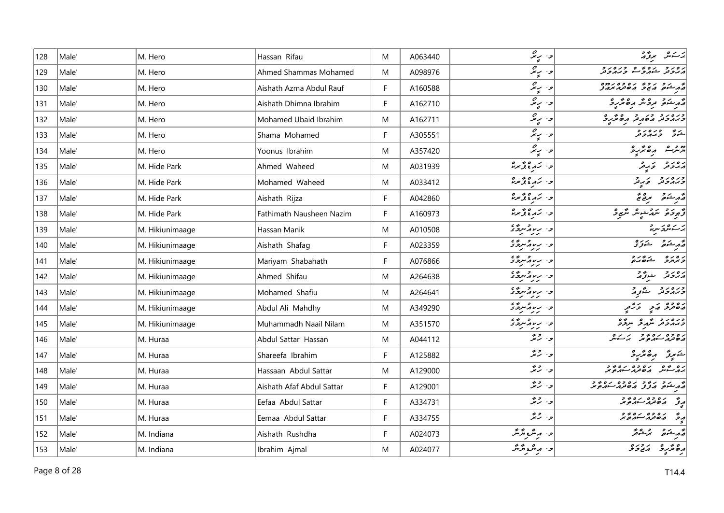| 128 | Male' | M. Hero         | Hassan Rifau              | M           | A063440 | د . رِبْر                                         | پرستانلر ہوتی تھ                                      |
|-----|-------|-----------------|---------------------------|-------------|---------|---------------------------------------------------|-------------------------------------------------------|
| 129 | Male' | M. Hero         | Ahmed Shammas Mohamed     | M           | A098976 | وسي چ                                             | رەرد ررەپرە درەرد<br>مەردىر شەمەرگ دىمەدىر            |
| 130 | Male' | M. Hero         | Aishath Azma Abdul Rauf   | F           | A160588 | د . رِبْرُ                                        | מ מי כי מי מים מים מים<br>האמיים היאידי השינה מינה צ  |
| 131 | Male' | M. Hero         | Aishath Dhimna Ibrahim    | F           | A162710 | د . رپمه                                          | ړ ده ده ده پره پر ده                                  |
| 132 | Male' | M. Hero         | Mohamed Ubaid Ibrahim     | M           | A162711 | د . رِبْرُ                                        | כנסגב בנגב הסתיק                                      |
| 133 | Male' | M. Hero         | Shama Mohamed             | F           | A305551 | د . رپر<br>د                                      | ے میں درہ د<br>شاور وبرابرونر                         |
| 134 | Male' | M. Hero         | Yoonus Ibrahim            | M           | A357420 | اح ، رچ<br>ا                                      | درور مشتر                                             |
| 135 | Male' | M. Hide Park    | Ahmed Waheed              | M           | A031939 | ح السكرة ومحرسر                                   | أرورو كالميتر                                         |
| 136 | Male' | M. Hide Park    | Mohamed Waheed            | M           | A033412 | د . ئەر؟ بۇ برى <sub>م</sub>                      | ورورو كردو                                            |
| 137 | Male' | M. Hide Park    | Aishath Rijza             | F           | A042860 | د . ئەر؟ بۇ برى <sub>م</sub>                      | وكرمشكم برقيح                                         |
| 138 | Male' | M. Hide Park    | Fathimath Nausheen Nazim  | F           | A160973 | د . ئەر؟ بۇ برى <sub>م</sub>                      | توجوجة التمشيش اللي                                   |
| 139 | Male' | M. Hikiunimaage | Hassan Manik              | M           | A010508 | בי געג'ית ביצ                                     | ىر سەھ بىر <i>بىر</i>                                 |
| 140 | Male' | M. Hikiunimaage | Aishath Shafaq            | F           | A023359 | وسربرو مرومي                                      | د.<br>د آمر شکور شکوری                                |
| 141 | Male' | M. Hikiunimaage | Mariyam Shabahath         | $\mathsf F$ | A076866 | وسربور مبردهمی                                    | رەرە دەرد<br><i>جىبىرى</i> شە <i>ھ</i> تەم            |
| 142 | Male' | M. Hikiunimaage | Ahmed Shifau              | M           | A264638 | و سرمرو شروع<br>مربر مر                           | ره رو شوور<br>مدرونر شو <i>ؤه</i>                     |
| 143 | Male' | M. Hikiunimaage | Mohamed Shafiu            | M           | A264641 | وسربور مبردهمی                                    | ورەر دېم ئىگى ئە                                      |
| 144 | Male' | M. Hikiunimaage | Abdul Ali Mahdhy          | M           | A349290 | د . رب <sub>ا</sub> ړم ترو <sup>ي</sup>           | גפיפ ג'ב בכינ                                         |
| 145 | Male' | M. Hikiunimaage | Muhammadh Naail Nilam     | M           | A351570 | و سرمار مردمی<br>مسرمار مردم                      | כנסגב יתגב יקבב                                       |
| 146 | Male' | M. Huraa        | Abdul Sattar Hassan       | M           | A044112 | و . رُمَگ                                         | رە دە رە دو برگەر<br>مەھەرم سىمى برگىر                |
| 147 | Male' | M. Huraa        | Shareefa Ibrahim          | F           | A125882 | و٠ رُگُر                                          | ڔۿؠڒڔۮ<br>ىشكىرۇ گ                                    |
| 148 | Male' | M. Huraa        | Hassaan Abdul Sattar      | M           | A129000 | وسمجرنگ                                           | ره مه ده ده ده دو د                                   |
| 149 | Male' | M. Huraa        | Aishath Afaf Abdul Sattar | F           | A129001 | و٠ رُمَرٌ                                         |                                                       |
| 150 | Male' | M. Huraa        | Eefaa Abdul Sattar        | F           | A334731 | والممجمج                                          | ره وه ره د و<br>پره توپر شهره بر<br>ەر ق              |
| 151 | Male' | M. Huraa        | Eemaa Abdul Sattar        | F.          | A334755 | و٠ رُگ                                            | ره وه ره دو.<br>پره تربر سرمونر<br>ورځ<br>خ           |
| 152 | Male' | M. Indiana      | Aishath Rushdha           | F           | A024073 | <sub>ح</sub> . م <sub>ر</sub> شع مَ <i>ن</i> ْتَر | د.<br>در کار شوه<br>تر شەنگە<br>مە <sup>ر</sup> شەنگە |
| 153 | Male' | M. Indiana      | Ibrahim Ajmal             | M           | A024077 | <sub>ح</sub> . م <sub>ر</sub> شو پژ <i>ی</i> ر    | دە ئەر ئەددە                                          |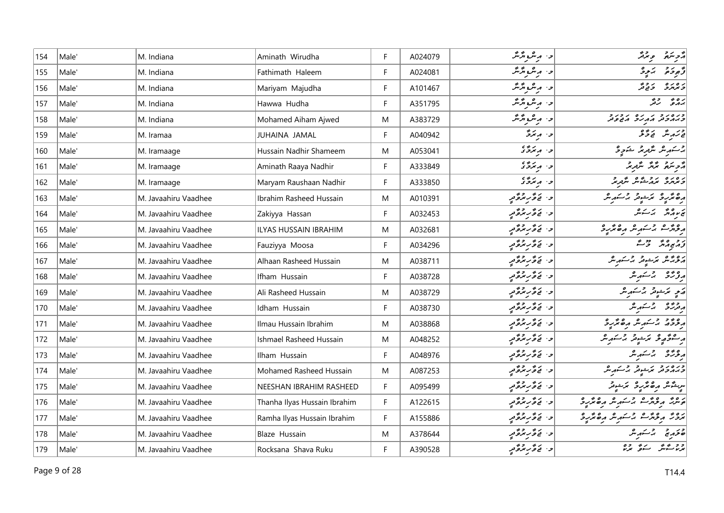| 154 | Male' | M. Indiana           | Aminath Wirudha              | F  | A024079 | ح <sup>.</sup> مریش <sub>و</sub> رمَّتَهُ                        | أأرجب المتعريب                                                                                                 |
|-----|-------|----------------------|------------------------------|----|---------|------------------------------------------------------------------|----------------------------------------------------------------------------------------------------------------|
| 155 | Male' | M. Indiana           | Fathimath Haleem             | F. | A024081 | ح <sup>.</sup> مرىنگ <sub>ە ق</sub> رىنگر                        | و بالمحمد بالمحمد المحمد المحمد                                                                                |
| 156 | Male' | M. Indiana           | Mariyam Majudha              | F  | A101467 | د· م <i>ر مثن</i> مرَّمَّتَر                                     | رەرە روپ <sub>ە</sub><br>جەيرىرى كەنغ                                                                          |
| 157 | Male' | M. Indiana           | Hawwa Hudha                  | F. | A351795 | د· م <i>ر مثن</i> مرَّ مَّر                                      | رە ئەستىر<br>بەيرى رىتر                                                                                        |
| 158 | Male' | M. Indiana           | Mohamed Aiham Ajwed          | M  | A383729 | د· م <i>ر مثم</i> و مُرْمَّر                                     | כנסני גנט גבני<br>כממכת הקנט הבפת                                                                              |
| 159 | Male' | M. Iramaa            | JUHAINA JAMAL                | F. | A040942 | و٠ د برگ                                                         | في كرم سَمَّى فَي حَرَّ حَرْ                                                                                   |
| 160 | Male' | M. Iramaage          | Hussain Nadhir Shameem       | M  | A053041 | و پر پوء<br>و پر پور                                             | بر سکر سر سر شکر شکر دید که در سر در سر در سر در سر در سر در سر در سر در سر در سر در سر سر سر سر سر سر سر سر س |
| 161 | Male' | M. Iramaage          | Aminath Raaya Nadhir         | F  | A333849 | $rac{1}{5550}$                                                   | أأروستم المراكز الكربر                                                                                         |
| 162 | Male' | M. Iramaage          | Maryam Raushaan Nadhir       | F  | A333850 | وسميرون                                                          | رەرە بەدىگە س <i>ۇپرى</i> ر                                                                                    |
| 163 | Male' | M. Javaahiru Vaadhee | Ibrahim Rasheed Hussain      | M  | A010391 | - ئەقرىر ئەرەپر                                                  | رەتمرىر تەسىر ئەسەر                                                                                            |
| 164 | Male' | M. Javaahiru Vaadhee | Zakiyya Hassan               | F. | A032453 | <br> و·  فَاقْرَىرْ مُرْقَّامِرِ                                 | ئى يەر ئەسكە ئىر                                                                                               |
| 165 | Male' | M. Javaahiru Vaadhee | <b>ILYAS HUSSAIN IBRAHIM</b> | M  | A032681 | <sub>ح</sub> . ب <sub>َع</sub> ُ قَرَبِ بَرْقَ <sup>ة</sup> مِرِ | ە ئەش ئەسىر شەھرىرى<br>مەنبەر ئەسىر                                                                            |
| 166 | Male' | M. Javaahiru Vaadhee | Fauziyya Moosa               | F  | A034296 | و·                 وَ مَر مَرْ وَّ مِرِ                          | ز ده ورو ده د                                                                                                  |
| 167 | Male' | M. Javaahiru Vaadhee | Alhaan Rasheed Hussain       | M  | A038711 | و کے قریر قرقر پر                                                | رەپ <sub>ە كەخو</sub> ر ب <sub>ەسكە</sub> ب                                                                    |
| 168 | Male' | M. Javaahiru Vaadhee | Ifham Hussain                | F. | A038728 | و· ئۆگۈرىزگەندە<br>ئ                                             | موردو برسمه عر                                                                                                 |
| 169 | Male' | M. Javaahiru Vaadhee | Ali Rasheed Hussain          | M  | A038729 | <sub>ح</sub> . ب <sub>َع</sub> ُ قَرَبِرْهُ مَرِ                 | كالمي الكرجوش الركسكر مكر                                                                                      |
| 170 | Male' | M. Javaahiru Vaadhee | Idham Hussain                | F. | A038730 | د · نئے قریر ترقی در                                             | معررو برسمه عر                                                                                                 |
| 171 | Male' | M. Javaahiru Vaadhee | Ilmau Hussain Ibrahim        | M  | A038868 | <sub>ح</sub> . ئ <sub>ە</sub> قُرىر ت <sup>ى</sup> رقىمىيە       |                                                                                                                |
| 172 | Male' | M. Javaahiru Vaadhee | Ishmael Rasheed Hussain      | M  | A048252 | د · غ قربر پر قرم                                                | ر قۇم ئۇ ئەشلار بار ئەر                                                                                        |
| 173 | Male' | M. Javaahiru Vaadhee | Ilham Hussain                | F  | A048976 | <br> و· ئۇقرىر ئىرقى تېر                                         | مرورو برخمه ش                                                                                                  |
| 174 | Male' | M. Javaahiru Vaadhee | Mohamed Rasheed Hussain      | M  | A087253 | <sub>و: ئ</sub> ے تَ <i>رُس پر تَ</i> وَمِرِ                     | ورەرو ترىيەتە جاسكەنگ                                                                                          |
| 175 | Male' | M. Javaahiru Vaadhee | NEESHAN IBRAHIM RASHEED      | F  | A095499 | <sub>ج ا</sub> ئ <sub>ە</sub> ئۇ ئ <sub>و</sub> ر بىر ئۇ ئىر     | سيشكر مۇمۇرۇ برخىر                                                                                             |
| 176 | Male' | M. Javaahiru Vaadhee | Thanha Ilyas Hussain Ibrahim | F  | A122615 | و به نوگرېمرگومړ                                                 | و وه معرض بالمسكر من من المسلم المسلم المسلم المسلم المسلم المسلم المسلم المسلم المسلم المسلم المسلم المسلم ال |
| 177 | Male' | M. Javaahiru Vaadhee | Ramha Ilyas Hussain Ibrahim  | F  | A155886 | و به نوگر برگرور                                                 | بروژ مروهز و در شهر شهر مره تربرو                                                                              |
| 178 | Male' | M. Javaahiru Vaadhee | Blaze Hussain                | M  | A378644 | $\sqrt{2\pi\frac{1}{2}}$                                         | قومری بر منهر شر                                                                                               |
| 179 | Male' | M. Javaahiru Vaadhee | Rocksana Shava Ruku          | F. | A390528 | د · غ قر بر پر قربه                                              | د د مړينه په ده<br>برړندنگر سوکړ برړ                                                                           |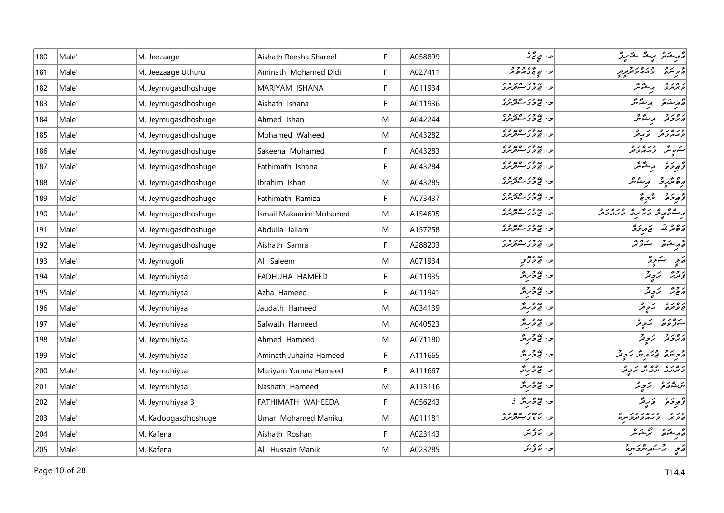| 180 | Male' | M. Jeezaage         | Aishath Reesha Shareef  | F         | A058899 | و· ي <sub>و</sub> ج دُ                 | أأور منكار المحمد المحمد والمحمد والمحمد والمحمد والمحمد والمحمد والمحمد والمحمد والمحمد والمحمد وال |
|-----|-------|---------------------|-------------------------|-----------|---------|----------------------------------------|------------------------------------------------------------------------------------------------------|
| 181 | Male' | M. Jeezaage Uthuru  | Aminath Mohamed Didi    | F.        | A027411 |                                        | أدمر وبرور وروبر                                                                                     |
| 182 | Male' | M. Jeymugasdhoshuge | MARIYAM ISHANA          | F.        | A011934 |                                        | رەرە مەشەر                                                                                           |
| 183 | Male' | M. Jeymugasdhoshuge | Aishath Ishana          | F         | A011936 | ے ور میروے<br>وسطح وی سیور دی          | ر<br>پر گرمسکو م<br>ەرىشەتىر                                                                         |
| 184 | Male' | M. Jeymugasdhoshuge | Ahmed Ishan             | M         | A042244 | ے ور میروے<br>وسطح وی سیور دی          | رەرد مىش <sup>ى</sup> ر                                                                              |
| 185 | Male' | M. Jeymugasdhoshuge | Mohamed Waheed          | M         | A043282 | ے ور ہے و ء<br>وسطح و ی سسوفرمزی       | ورەر دىر د                                                                                           |
| 186 | Male' | M. Jeymugasdhoshuge | Sakeena Mohamed         | F         | A043283 | ے ور معدو عدد<br>حسین محدد محمد مور    | سكان بير وبرود و                                                                                     |
| 187 | Male' | M. Jeymugasdhoshuge | Fathimath Ishana        | F         | A043284 | ے ور میروے<br>وسط وی سنورس             | قوموه مشتر                                                                                           |
| 188 | Male' | M. Jeymugasdhoshuge | Ibrahim Ishan           | M         | A043285 | ے در معدد ہ<br>د قام دی سوتر پری       | ە ھەترىر <sup>ى</sup><br>برھەترىرى<br>ىرىشەشر                                                        |
| 189 | Male' | M. Jeymugasdhoshuge | Fathimath Ramiza        | F.        | A073437 | ے ور میروے<br>وسطح وی سیور دی          | ا تو <sub>م</sub> حر حر<br>برٌوجٌ                                                                    |
| 190 | Male' | M. Jeymugasdhoshuge | Ismail Makaarim Mohamed | M         | A154695 | ے ور میروے<br>وسطح وی سیور دی          | د حوګړی د پره دره د د                                                                                |
| 191 | Male' | M. Jeymugasdhoshuge | Abdulla Jailam          | ${\sf M}$ | A157258 | ے ور ہے و ء<br>وسطح و ی سسوتوری        | رە قراللە قەرىخ                                                                                      |
| 192 | Male' | M. Jeymugasdhoshuge | Aishath Samra           | F         | A288203 |                                        | و دره دره و                                                                                          |
| 193 | Male' | M. Jeymugofi        | Ali Saleem              | M         | A071934 | وسيح وبيو                              | ړَر سَروِدٌ                                                                                          |
| 194 | Male' | M. Jeymuhiyaa       | FADHUHA HAMEED          | F         | A011935 | وسيح وردگر                             | تروژ پروژ                                                                                            |
| 195 | Male' | M. Jeymuhiyaa       | Azha Hameed             | F         | A011941 | ه به عرضه در پیش<br>مراجع              | أروع بروتر                                                                                           |
| 196 | Male' | M. Jeymuhiyaa       | Jaudath Hameed          | M         | A034139 | وسيح وردمج                             | د ه د د په د د                                                                                       |
| 197 | Male' | M. Jeymuhiyaa       | Safwath Hameed          | M         | A040523 | وسيح وبهر                              | بە دەر د<br>برَحٍ قر                                                                                 |
| 198 | Male' | M. Jeymuhiyaa       | Ahmed Hameed            | M         | A071180 | وسي وردٌ                               | رەر بەر                                                                                              |
| 199 | Male' | M. Jeymuhiyaa       | Aminath Juhaina Hameed  | F         | A111665 | وسي وردٌ                               | و برد و برونگر برد و                                                                                 |
| 200 | Male' | M. Jeymuhiyaa       | Mariyam Yumna Hameed    | F         | A111667 | و · قع قریر گر                         | ן פינים כפוף הבות                                                                                    |
| 201 | Male' | M. Jeymuhiyaa       | Nashath Hameed          | M         | A113116 | وسيح وبهر                              | كرك وكرام والمركب والمراجح                                                                           |
| 202 | Male' | M. Jeymuhiyaa 3     | FATHIMATH WAHEEDA       | F         | A056243 | ومنقور ممركز 3                         | قُهْ فَرَمْتُ وَرِيْدًا                                                                              |
| 203 | Male' | M. Kadoogasdhoshuge | Umar Mohamed Maniku     | M         | A011181 | ر دود ر ه پر و د<br>و ۱ ما ٤ ي سوترنزي | כני כנסנכנית.<br>גביני בגגבינקייני                                                                   |
| 204 | Male' | M. Kafena           | Aishath Roshan          | F.        | A023143 | ە . ئاۋىتر                             | مەر شەخ كىرىشكىر                                                                                     |
| 205 | Male' | M. Kafena           | Ali Hussain Manik       | M         | A023285 | ە بە ئەتكە                             |                                                                                                      |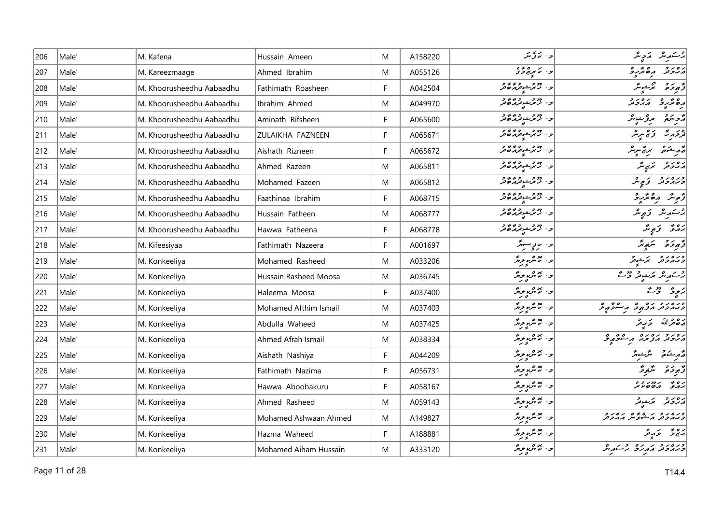| 206 | Male' | M. Kafena                 | Hussain Ameen           | M           | A158220 | چ، ئۇتۇنىڭر                                                                                                                                               | يز سکير شرک مکان مرکز کرد.<br>مرکز کرده مرکز مرکز کرد.                |
|-----|-------|---------------------------|-------------------------|-------------|---------|-----------------------------------------------------------------------------------------------------------------------------------------------------------|-----------------------------------------------------------------------|
| 207 | Male' | M. Kareezmaage            | Ahmed Ibrahim           | M           | A055126 |                                                                                                                                                           |                                                                       |
| 208 | Male' | M. Khoorusheedhu Aabaadhu | Fathimath Roasheen      | F           | A042504 |                                                                                                                                                           | ۇ بوز بو                                                              |
| 209 | Male' | M. Khoorusheedhu Aabaadhu | Ibrahim Ahmed           | M           | A049970 | <sub>و</sub> . ?? پر شوند <i>از ه</i> نر<br>                                                                                                              | دەندىر<br>ەرەر                                                        |
| 210 | Male' | M. Khoorusheedhu Aabaadhu | Aminath Rifsheen        | F           | A065600 |                                                                                                                                                           | أثر برة<br>بروعيومر                                                   |
| 211 | Male' | M. Khoorusheedhu Aabaadhu | <b>ZULAIKHA FAZNEEN</b> | $\mathsf F$ | A065671 | و . دو و .<br>و . گرمز شوندراز کانر                                                                                                                       | تر چې سر بګر<br>فرقرمرجح                                              |
| 212 | Male' | M. Khoorusheedhu Aabaadhu | Aishath Rizneen         | F           | A065672 | و به هم در و در و و<br>و به مر موفراه کافر<br>ب                                                                                                           | ۇرمۇق برقمېرىر                                                        |
| 213 | Male' | M. Khoorusheedhu Aabaadhu | Ahmed Razeen            | M           | A065811 | ح بالمجمع من المسيح المسيح المراجع المر<br>من المسيح المسيح المسيح المسيح المسيح المسيح المسيح المسيح المسيح المسيح المسيح المسيح المسيح المسيح المسيح ال | ړه پرو ټرې ش                                                          |
| 214 | Male' | M. Khoorusheedhu Aabaadhu | Mohamed Fazeen          | M           | A065812 |                                                                                                                                                           | ورەرو تەپ                                                             |
| 215 | Male' | M. Khoorusheedhu Aabaadhu | Faathinaa Ibrahim       | F           | A068715 | ر در در در در در در در در این کند.<br>اح                                                                                                                  | ژُومَر رەمزر                                                          |
| 216 | Male' | M. Khoorusheedhu Aabaadhu | Hussain Fatheen         | M           | A068777 | ر در در در در در در در در این کند.<br>اح                                                                                                                  | برسكريش أوكمج يثل                                                     |
| 217 | Male' | M. Khoorusheedhu Aabaadhu | Hawwa Fatheena          | F           | A068778 | د در در دره در در در در در در در در کشتی کند.<br>اح                                                                                                       | برەقە ئۇچەتتر                                                         |
| 218 | Male' | M. Kifeesiyaa             | Fathimath Nazeera       | F           | A001697 | د . با پاسهگر                                                                                                                                             | تؤجر تحريم تتمني تكر                                                  |
| 219 | Male' | M. Konkeeliya             | Mohamed Rasheed         | M           | A033206 | د به میمورد در کلید<br>م                                                                                                                                  | ورەر و كرشونر<br><i>وبەم</i> ونر كرشونر                               |
| 220 | Male' | M. Konkeeliya             | Hussain Rasheed Moosa   | M           | A036745 | د به میمران مردم<br>مسلمان                                                                                                                                | ج سەر ئىر ئەزىيە ئىز ج                                                |
| 221 | Male' | M. Konkeeliya             | Haleema Moosa           | F           | A037400 | د ، تا متر بر بر دگر<br>مستقر                                                                                                                             | پرچنى ئۆرىتى                                                          |
| 222 | Male' | M. Konkeeliya             | Mohamed Afthim Ismail   | M           | A037403 | د . تا مثر بر مردگر<br>مسیح                                                                                                                               |                                                                       |
| 223 | Male' | M. Konkeeliya             | Abdulla Waheed          | M           | A037425 | د ، تو شرو پروگر                                                                                                                                          | بره والله كوبرتر                                                      |
| 224 | Male' | M. Konkeeliya             | Ahmed Afrah Ismail      | M           | A038334 | د. تامگر برورگر<br>مستقر بر                                                                                                                               | גם גב גם גם גם בייבודים.<br>גיגבית גציגיה גייבודים                    |
| 225 | Male' | M. Konkeeliya             | Aishath Nashiya         | $\mathsf F$ | A044209 | د به میمران مردم<br>مسلمان                                                                                                                                | ۇرىشكۇ سۇھىر                                                          |
| 226 | Male' | M. Konkeeliya             | Fathimath Nazima        | F           | A056731 | د· ٽڏمٿر پورگر                                                                                                                                            | وٌودَهُ سَّوَدٌ                                                       |
| 227 | Male' | M. Konkeeliya             | Hawwa Aboobakuru        | F           | A058167 | د به میمورد در کلید<br>م                                                                                                                                  | 77/77/7<br>برە پچ                                                     |
| 228 | Male' | M. Konkeeliya             | Ahmed Rasheed           | M           | A059143 | د ، تا مثر پر برگر<br>م                                                                                                                                   | رەرو كەھبىر<br>مەركى كەھبىر                                           |
| 229 | Male' | M. Konkeeliya             | Mohamed Ashwaan Ahmed   | M           | A149827 |                                                                                                                                                           | وره ر و   ر   ه و   ه   ر ه ر و<br>ح پر پر حر   پر شوي س   پر پر ح تر |
| 230 | Male' | M. Konkeeliya             | Hazma Waheed            | F           | A188881 | <sub>ح</sub> . میمش <i>رد بر</i> وژگر                                                                                                                     | پرچونخ کو پرچر                                                        |
| 231 | Male' | M. Konkeeliya             | Mohamed Aiham Hussain   | M           | A333120 | د به میمر مورد<br>مسیر                                                                                                                                    | כנסגב גגם בגות                                                        |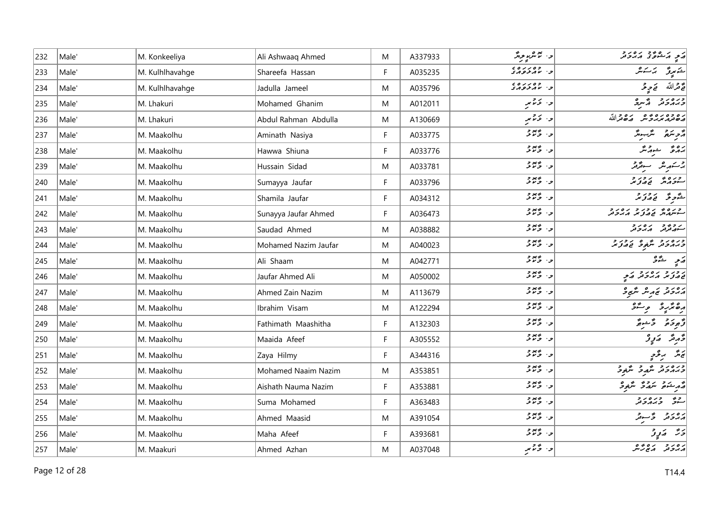| 232 | Male' | M. Konkeeliya   | Ali Ashwaaq Ahmed    | M         | A337933 | د· مذهب د پژ<br>-                                                                                                                                                                                                                                                                                                                                                                                                                      | أرشح أرشوق المراجع                                                                                                                                                                                                                                                                                                                                                                                                                                                                                                                                               |
|-----|-------|-----------------|----------------------|-----------|---------|----------------------------------------------------------------------------------------------------------------------------------------------------------------------------------------------------------------------------------------------------------------------------------------------------------------------------------------------------------------------------------------------------------------------------------------|------------------------------------------------------------------------------------------------------------------------------------------------------------------------------------------------------------------------------------------------------------------------------------------------------------------------------------------------------------------------------------------------------------------------------------------------------------------------------------------------------------------------------------------------------------------|
| 233 | Male' | M. Kulhlhavahge | Shareefa Hassan      | F         | A035235 | 599999999                                                                                                                                                                                                                                                                                                                                                                                                                              | خىرۇ باشك                                                                                                                                                                                                                                                                                                                                                                                                                                                                                                                                                        |
| 234 | Male' | M. Kulhlhavahge | Jadulla Jameel       | ${\sf M}$ | A035796 | $\begin{array}{cc} c\circ\!\!\!\!\!& \circ\!\!\!\!\!& \circ\!\!\!\!\!& \circ\!\!\!\!\!& \circ\!\!\!\!\!& \circ\!\!\!\!\!& \circ\!\!\!\!\!& \circ\!\!\!\!\!& \circ\!\!\!\!\!& \circ\!\!\!\!\!& \circ\!\!\!\!\!& \circ\!\!\!\!\!& \circ\!\!\!\!\!& \circ\!\!\!\!\!& \circ\!\!\!\!\!& \circ\!\!\!\!\!& \circ\!\!\!\!\!& \circ\!\!\!\!\!& \circ\!\!\!\!\!& \circ\!\!\!\!\!& \circ\!\!\!\!\!& \circ\!\!\!\!\!& \circ\!\!\!\!\!& \circ\!\!\$ | قَ قَرْاللّه قَ وِ قَرْ                                                                                                                                                                                                                                                                                                                                                                                                                                                                                                                                          |
| 235 | Male' | M. Lhakuri      | Mohamed Ghanim       | M         | A012011 | وستماتين                                                                                                                                                                                                                                                                                                                                                                                                                               | ورەرو ئەر                                                                                                                                                                                                                                                                                                                                                                                                                                                                                                                                                        |
| 236 | Male' | M. Lhakuri      | Abdul Rahman Abdulla | M         | A130669 | وسمقاتين                                                                                                                                                                                                                                                                                                                                                                                                                               | ره وه بره ده مرور در الله                                                                                                                                                                                                                                                                                                                                                                                                                                                                                                                                        |
| 237 | Male' | M. Maakolhu     | Aminath Nasiya       | F         | A033775 | وسيموج                                                                                                                                                                                                                                                                                                                                                                                                                                 | أوحر متنع الترسور                                                                                                                                                                                                                                                                                                                                                                                                                                                                                                                                                |
| 238 | Male' | M. Maakolhu     | Hawwa Shiuna         | F         | A033776 | وسيموج                                                                                                                                                                                                                                                                                                                                                                                                                                 | برە ئەسىمە ئىس                                                                                                                                                                                                                                                                                                                                                                                                                                                                                                                                                   |
| 239 | Male' | M. Maakolhu     | Hussain Sidad        | ${\sf M}$ | A033781 | وسيموج                                                                                                                                                                                                                                                                                                                                                                                                                                 | جەسىمبىر سو <i>نترىتى</i><br>مەسىمبە                                                                                                                                                                                                                                                                                                                                                                                                                                                                                                                             |
| 240 | Male' | M. Maakolhu     | Sumayya Jaufar       | F         | A033796 | وسيميوم                                                                                                                                                                                                                                                                                                                                                                                                                                | $5151$ $5015$                                                                                                                                                                                                                                                                                                                                                                                                                                                                                                                                                    |
| 241 | Male' | M. Maakolhu     | Shamila Jaufar       | F         | A034312 | وسيح توجو                                                                                                                                                                                                                                                                                                                                                                                                                              | شەرىخە ئەرىر ئە                                                                                                                                                                                                                                                                                                                                                                                                                                                                                                                                                  |
| 242 | Male' | M. Maakolhu     | Sunayya Jaufar Ahmed | F         | A036473 | والمتحصوص                                                                                                                                                                                                                                                                                                                                                                                                                              | د ره د رور د ره رو<br>  سامله ش د و د کرد د                                                                                                                                                                                                                                                                                                                                                                                                                                                                                                                      |
| 243 | Male' | M. Maakolhu     | Saudad Ahmed         | M         | A038882 | وسيمنونو                                                                                                                                                                                                                                                                                                                                                                                                                               | ر و د و د و د و د<br>سکهه توتر د مربر و تر                                                                                                                                                                                                                                                                                                                                                                                                                                                                                                                       |
| 244 | Male' | M. Maakolhu     | Mohamed Nazim Jaufar | ${\sf M}$ | A040023 | وسيموج                                                                                                                                                                                                                                                                                                                                                                                                                                 | ورەرو بەرە دەرو                                                                                                                                                                                                                                                                                                                                                                                                                                                                                                                                                  |
| 245 | Male' | M. Maakolhu     | Ali Shaam            | M         | A042771 | وسيح توجو                                                                                                                                                                                                                                                                                                                                                                                                                              | پر په شوی                                                                                                                                                                                                                                                                                                                                                                                                                                                                                                                                                        |
| 246 | Male' | M. Maakolhu     | Jaufar Ahmed Ali     | M         | A050002 | وسيح توجو                                                                                                                                                                                                                                                                                                                                                                                                                              | رور دره رود کرد                                                                                                                                                                                                                                                                                                                                                                                                                                                                                                                                                  |
| 247 | Male' | M. Maakolhu     | Ahmed Zain Nazim     | M         | A113679 | وسيمنونو                                                                                                                                                                                                                                                                                                                                                                                                                               | גְפְנֵבְ גַ'אֲנִיי יִתֹוֹ בַ                                                                                                                                                                                                                                                                                                                                                                                                                                                                                                                                     |
| 248 | Male' | M. Maakolhu     | Ibrahim Visam        | M         | A122294 | وسيميوم                                                                                                                                                                                                                                                                                                                                                                                                                                |                                                                                                                                                                                                                                                                                                                                                                                                                                                                                                                                                                  |
| 249 | Male' | M. Maakolhu     | Fathimath Maashitha  | F         | A132303 | وسيمنونو                                                                                                                                                                                                                                                                                                                                                                                                                               |                                                                                                                                                                                                                                                                                                                                                                                                                                                                                                                                                                  |
| 250 | Male' | M. Maakolhu     | Maaida Afeef         | F         | A305552 | وسيح توجو                                                                                                                                                                                                                                                                                                                                                                                                                              | دُرِمَرُ الْمَوِرْ                                                                                                                                                                                                                                                                                                                                                                                                                                                                                                                                               |
| 251 | Male' | M. Maakolhu     | Zaya Hilmy           | F         | A344316 | وسيح توجو                                                                                                                                                                                                                                                                                                                                                                                                                              | $\begin{array}{cc} & \stackrel{\circ}{\sim} & \stackrel{\circ}{\sim} & \stackrel{\circ}{\sim} & \stackrel{\circ}{\sim} & \stackrel{\circ}{\sim} & \stackrel{\circ}{\sim} & \stackrel{\circ}{\sim} & \stackrel{\circ}{\sim} & \stackrel{\circ}{\sim} & \stackrel{\circ}{\sim} & \stackrel{\circ}{\sim} & \stackrel{\circ}{\sim} & \stackrel{\circ}{\sim} & \stackrel{\circ}{\sim} & \stackrel{\circ}{\sim} & \frac{\circ}{\sim} & \stackrel{\circ}{\sim} & \frac{\circ}{\sim} & \frac{\circ}{\sim} & \frac{\circ}{\sim} & \frac{\circ}{\sim} & \frac{\circ}{\sim$ |
| 252 | Male' | M. Maakolhu     | Mohamed Naaim Nazim  | ${\sf M}$ | A353851 | وسيميوج                                                                                                                                                                                                                                                                                                                                                                                                                                |                                                                                                                                                                                                                                                                                                                                                                                                                                                                                                                                                                  |
| 253 | Male' | M. Maakolhu     | Aishath Nauma Nazim  | F         | A353881 | وسيموج                                                                                                                                                                                                                                                                                                                                                                                                                                 | م المستوفر المستركز المسترور                                                                                                                                                                                                                                                                                                                                                                                                                                                                                                                                     |
| 254 | Male' | M. Maakolhu     | Suma Mohamed         | F         | A363483 | وسيموج                                                                                                                                                                                                                                                                                                                                                                                                                                 | وه وره دو.<br>سور وبرورور                                                                                                                                                                                                                                                                                                                                                                                                                                                                                                                                        |
| 255 | Male' | M. Maakolhu     | Ahmed Maasid         | ${\sf M}$ | A391054 | وسيح توجو                                                                                                                                                                                                                                                                                                                                                                                                                              | دەرو ۋىسور                                                                                                                                                                                                                                                                                                                                                                                                                                                                                                                                                       |
| 256 | Male' | M. Maakolhu     | Maha Afeef           | F         | A393681 | وسيموج                                                                                                                                                                                                                                                                                                                                                                                                                                 | دَرَّ   دَرِدْ                                                                                                                                                                                                                                                                                                                                                                                                                                                                                                                                                   |
| 257 | Male' | M. Maakuri      | Ahmed Azhan          | ${\sf M}$ | A037048 | د به دهمبر                                                                                                                                                                                                                                                                                                                                                                                                                             | رەرد رەپ                                                                                                                                                                                                                                                                                                                                                                                                                                                                                                                                                         |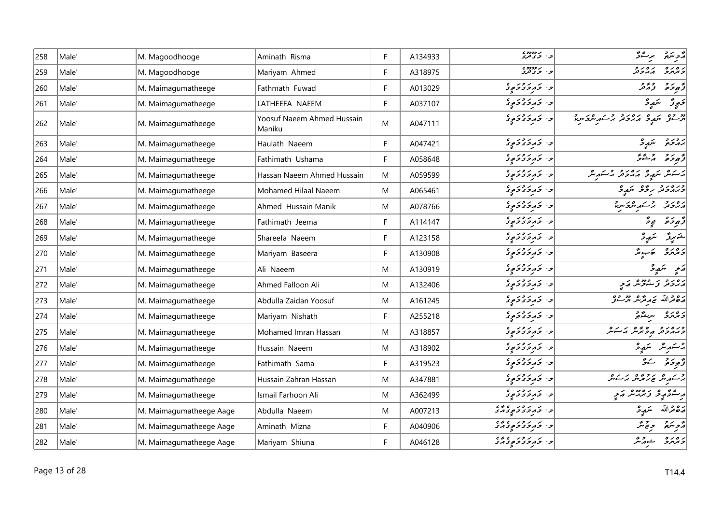| 258 | Male' | M. Magoodhooge          | Aminath Risma                        | F         | A134933 | ر دوود تا<br>ح - افراد کرد                                                                                                                                                                                                                                  | أأزجر ستراء سرساءة                          |
|-----|-------|-------------------------|--------------------------------------|-----------|---------|-------------------------------------------------------------------------------------------------------------------------------------------------------------------------------------------------------------------------------------------------------------|---------------------------------------------|
| 259 | Male' | M. Magoodhooge          | Mariyam Ahmed                        | F         | A318975 | ر دووو تا<br>بر ۱۰ کال کال                                                                                                                                                                                                                                  | ر ه ر ه<br><del>ر</del> بربر ژ<br>پرور و    |
| 260 | Male' | M. Maimagumatheege      | Fathmath Fuwad                       | F         | A013029 | و٠ ځمرځ ځونو                                                                                                                                                                                                                                                | ا تو پر د<br>و بر د<br>تر د تر              |
| 261 | Male' | M. Maimagumatheege      | LATHEEFA NAEEM                       | F         | A037107 | و٠ ځږځونځونځ                                                                                                                                                                                                                                                | ځږېژ<br>سكەچە                               |
| 262 | Male' | M. Maimagumatheege      | Yoosuf Naeem Ahmed Hussain<br>Maniku | ${\sf M}$ | A047111 | و <sub>`</sub> خرد څخه ځمونځ                                                                                                                                                                                                                                | מי כם מתפי הביני הביני מביעי                |
| 263 | Male' | M. Maimagumatheege      | Haulath Naeem                        | F         | A047421 | و کېږدوکړه                                                                                                                                                                                                                                                  | برور و سمده                                 |
| 264 | Male' | M. Maimagumatheege      | Fathimath Ushama                     | F         | A058648 | כי במבצבת.<br>כי במבצבת                                                                                                                                                                                                                                     | و ده د شو                                   |
| 265 | Male' | M. Maimagumatheege      | Hassan Naeem Ahmed Hussain           | ${\sf M}$ | A059599 | و که دکوکولا                                                                                                                                                                                                                                                | يُرَ سُوشٍ مَدَى مَدَوَى بِرَ سَورِ مَرْ    |
| 266 | Male' | M. Maimagumatheege      | Mohamed Hilaal Naeem                 | ${\sf M}$ | A065461 | و که دکوکولا                                                                                                                                                                                                                                                | ورەرو رۇۋ ش <sub>ە</sub> ر                  |
| 267 | Male' | M. Maimagumatheege      | Ahmed Hussain Manik                  | M         | A078766 | د که د دره پا                                                                                                                                                                                                                                               | גפני גלוקיית ול                             |
| 268 | Male' | M. Maimagumatheege      | Fathimath Jeema                      | F         | A114147 | و که دکوکوکو                                                                                                                                                                                                                                                | توجوحو بإخر                                 |
| 269 | Male' | M. Maimagumatheege      | Shareefa Naeem                       | F         | A123158 | و کېږدوکړه کې                                                                                                                                                                                                                                               | شەمورٌ<br>سَمِيرة                           |
| 270 | Male' | M. Maimagumatheege      | Mariyam Baseera                      | F         | A130908 | و که دکوکوکو                                                                                                                                                                                                                                                | ر ه ر ه<br><del>ر</del> بربر د<br>ەسىرىگە   |
| 271 | Male' | M. Maimagumatheege      | Ali Naeem                            | M         | A130919 | כי כתכצכת ג'<br>תי כתכצכת                                                                                                                                                                                                                                   | أشج التمديح                                 |
| 272 | Male' | M. Maimagumatheege      | Ahmed Falloon Ali                    | M         | A132406 | و که دکوکوکو                                                                                                                                                                                                                                                | رەر دېر دودە كەي                            |
| 273 | Male' | M. Maimagumatheege      | Abdulla Zaidan Yoosuf                | M         | A161245 | د که دکوکولی<br>د که دکوکولی                                                                                                                                                                                                                                | ە ھەتراللە ئىمرىترىنز مركبور                |
| 274 | Male' | M. Maimagumatheege      | Mariyam Nishath                      | F         | A255218 | و کېږدوکولا                                                                                                                                                                                                                                                 | رەرە سەشەر                                  |
| 275 | Male' | M. Maimagumatheege      | Mohamed Imran Hassan                 | M         | A318857 | و کېږدوکړه                                                                                                                                                                                                                                                  | ورەرو مەمەرىكى                              |
| 276 | Male' | M. Maimagumatheege      | Hussain Naeem                        | M         | A318902 | و کېږدوکړه                                                                                                                                                                                                                                                  | 2-كىرىر - سىمەي                             |
| 277 | Male' | M. Maimagumatheege      | Fathimath Sama                       | F         | A319523 | כי במכלכתים<br>כי במכלכתים                                                                                                                                                                                                                                  | وُجِعَةٍ سَنَرَّ                            |
| 278 | Male' | M. Maimagumatheege      | Hussain Zahran Hassan                | M         | A347881 | בי בתבצבת ה                                                                                                                                                                                                                                                 | ج سەر ھار جام بىر بىر بىر سەنگ              |
| 279 | Male' | M. Maimagumatheege      | Ismail Farhoon Ali                   | M         | A362499 | و کېږدوکړه                                                                                                                                                                                                                                                  | وحدثم وبالمعاشر الملح                       |
| 280 | Male' | M. Maimagumatheege Aage | Abdulla Naeem                        | ${\sf M}$ | A007213 |                                                                                                                                                                                                                                                             | پر ۱۵ قرالله<br>سَمِيرة                     |
| 281 | Male' | M. Maimagumatheege Aage | Aminath Mizna                        | F         | A040906 | $\begin{array}{cc} c \mathrel{\not\sim} c & \mathrel{\not\sim} c \\ s \mathrel{\land} s \mathrel{\not\sim} c \mathrel{\not\sim} c \mathrel{\not\sim} c \mathrel{\not\sim} c \mathrel{\land} c \end{array} \mathrel{\mathop:} \mathrel{\mathop{\not\sim} c}$ | أأزجر ستركز والمحامل                        |
| 282 | Male' | M. Maimagumatheege Aage | Mariyam Shiuna                       | F         | A046128 |                                                                                                                                                                                                                                                             | ر ه ر ه<br><del>ر</del> بربرگ<br>شەرگە ئىگر |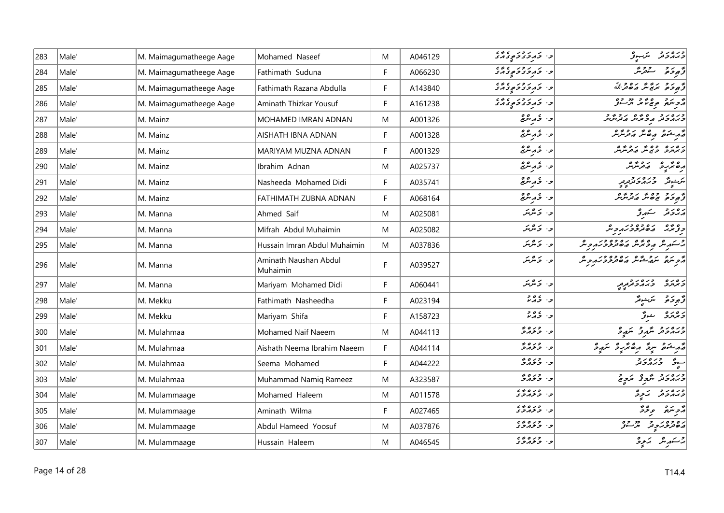| 283 | Male' | M. Maimagumatheege Aage | Mohamed Naseef                    | M  | A046129 | $\begin{array}{cc} c \neq c & \rightarrow c \\ s \land s \circ g \circ s \circ \land s & \rightarrow s \end{array}$ | ورەرو شەرو                                                      |
|-----|-------|-------------------------|-----------------------------------|----|---------|---------------------------------------------------------------------------------------------------------------------|-----------------------------------------------------------------|
| 284 | Male' | M. Maimagumatheege Aage | Fathimath Suduna                  | F  | A066230 |                                                                                                                     | و د د دور<br>توجود سندس                                         |
| 285 | Male' | M. Maimagumatheege Aage | Fathimath Razana Abdulla          | F  | A143840 |                                                                                                                     | و برد برویز ره دالله                                            |
| 286 | Male' | M. Maimagumatheege Aage | Aminath Thizkar Yousuf            | F  | A161238 |                                                                                                                     | ړ د د ده د د ده<br>تر د شمې موسم تر اور دو                      |
| 287 | Male' | M. Mainz                | MOHAMED IMRAN ADNAN               | M  | A001326 | د. ڈریٹنج                                                                                                           | כנסגב בספס גבפב<br>בגהכת הכתית התיתית                           |
| 288 | Male' | M. Mainz                | AISHATH IBNA ADNAN                | F. | A001328 | و. ۇرمىرچ                                                                                                           |                                                                 |
| 289 | Male' | M. Mainz                | MARIYAM MUZNA ADNAN               | F. | A001329 | د. ڈریٹنج                                                                                                           | ג סגם כם 2 גבשים.<br>בי <i>ניתב בי</i> שית הבתיתית              |
| 290 | Male' | M. Mainz                | Ibrahim Adnan                     | M  | A025737 | د. ڈریٹنج                                                                                                           | رە ئەر ئەر ئەر                                                  |
| 291 | Male' | M. Mainz                | Nasheeda Mohamed Didi             | F  | A035741 | د. ڈریٹنج                                                                                                           |                                                                 |
| 292 | Male' | M. Mainz                | FATHIMATH ZUBNA ADNAN             | F  | A068164 | د کوړ ش                                                                                                             | و د د ده و د د وه.                                              |
| 293 | Male' | M. Manna                | Ahmed Saif                        | M  | A025081 | و . ئەشرىتر                                                                                                         | پرورو سنهرو                                                     |
| 294 | Male' | M. Manna                | Mifrah Abdul Muhaimin             | M  | A025082 | ە . ئەنگەنگە                                                                                                        | ם מם נפספור ב<br>כציגור הסטיבכנהכית                             |
| 295 | Male' | M. Manna                | Hussain Imran Abdul Muhaimin      | M  | A037836 | د . ژنگرینژ                                                                                                         | כ מתייל תכמיט גם כם כמת כיל.<br>ג' האתייל תכמיט הסטפבי מתכיל    |
| 296 | Male' | M. Manna                | Aminath Naushan Abdul<br>Muhaimin | F  | A039527 | وسر كالكريس                                                                                                         | י גב הגבים גם כם כן גם.<br>גביתם ייתג ביית גם <i>נגברי</i> גבית |
| 297 | Male' | M. Manna                | Mariyam Mohamed Didi              | F  | A060441 | وسر گرمگر                                                                                                           | و ر ه ر و<br>تر پر تر تر تر تر<br>  ئەنگەر ئ                    |
| 298 | Male' | M. Mekku                | Fathimath Nasheedha               | F  | A023194 | $500 - 5$                                                                                                           | أوالمح وكالمحمد والمستردة والمحمد                               |
| 299 | Male' | M. Mekku                | Mariyam Shifa                     | F  | A158723 | $200 - 7$                                                                                                           | ئەتەر ئ<br>سنسوسح                                               |
| 300 | Male' | M. Mulahmaa             | Mohamed Naif Naeem                | M  | A044113 | ر وره ۶<br>د کردگ                                                                                                   | ورەرو شرۇ شھرى                                                  |
| 301 | Male' | M. Mulahmaa             | Aishath Neema Ibrahim Naeem       | F. | A044114 | و . و وه ه<br>و . و بوړو                                                                                            | ومنشئ سرو مقتر والمروا                                          |
| 302 | Male' | M. Mulahmaa             | Seema Mohamed                     | F  | A044222 | ور وره و                                                                                                            | ر وره دو.<br>سوژ ورورونو                                        |
| 303 | Male' | M. Mulahmaa             | Muhammad Namiq Rameez             | M  | A323587 | و . و وه و<br>و . و بورو                                                                                            | ورورو شروفه تروح                                                |
| 304 | Male' | M. Mulammaage           | Mohamed Haleem                    | M  | A011578 | ورەپە د<br>د گەنگەن                                                                                                 | ورەر دىرە                                                       |
| 305 | Male' | M. Mulammaage           | Aminath Wilma                     | E  | A027465 | ورەپە د<br>د گەنگەن                                                                                                 | أزوبترة وفرقر                                                   |
| 306 | Male' | M. Mulammaage           | Abdul Hameed Yoosuf               | M  | A037876 | ور ه وه و و<br>و ۰ و و پرو و                                                                                        |                                                                 |
| 307 | Male' | M. Mulammaage           | Hussain Haleem                    | M  | A046545 | ورەپە د<br>د گەنگەن                                                                                                 | برسكهاش الكرجرى                                                 |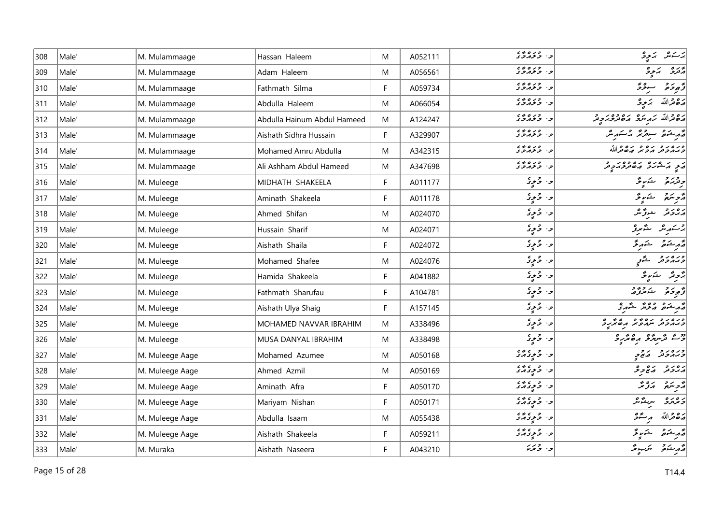| 308 | Male' | M. Mulammaage   | Hassan Haleem               | M | A052111 | ور ه ده ده<br>و۰ ونودود               | بزسەيىتى<br>برَجرة                                                                                             |
|-----|-------|-----------------|-----------------------------|---|---------|---------------------------------------|----------------------------------------------------------------------------------------------------------------|
| 309 | Male' | M. Mulammaage   | Adam Haleem                 | M | A056561 | ور ه ده د.<br>و۰ و <del>و</del> درو د | پژره<br>د ترو<br>برَمٍوْرٌ                                                                                     |
| 310 | Male' | M. Mulammaage   | Fathmath Silma              | F | A059734 | ور ه ده د.<br>و۰ و <del>و</del> درو د | ۇ بوز ئە<br>سەۋۇ                                                                                               |
| 311 | Male' | M. Mulammaage   | Abdulla Haleem              | M | A066054 | و . وده و <i>ی</i><br>و . و بورو د    | برە تراللە<br>برَجرى                                                                                           |
| 312 | Male' | M. Mulammaage   | Abdulla Hainum Abdul Hameed | M | A124247 | ور ه ده و.<br>و۰ ونوپروی              | رەت <sub>د</sub> اللە <i>ئەمەتك</i> مەمد <i>ىرى</i> دىد                                                        |
| 313 | Male' | M. Mulammaage   | Aishath Sidhra Hussain      | F | A329907 | ور ه ده د.<br>و۰ و <del>و</del> درو د | ە ئەر ئىككى ئەر ئەسكەر بىر                                                                                     |
| 314 | Male' | M. Mulammaage   | Mohamed Amru Abdulla        | M | A342315 | ور ه ده د.<br>و۰ و <del>و</del> درو د | ورەرو رەو رەوللە                                                                                               |
| 315 | Male' | M. Mulammaage   | Ali Ashham Abdul Hameed     | M | A347698 | ور ه ده و.<br>و۰ ونوپروی              | ړی په ده ده ده ده د                                                                                            |
| 316 | Male' | M. Muleege      | MIDHATH SHAKEELA            | F | A011177 | و٠ وګورگا                             | وفريرة التكليم                                                                                                 |
| 317 | Male' | M. Muleege      | Aminath Shakeela            | F | A011178 | د . ژوئچ                              | و څخه سرچ<br>شەرىق                                                                                             |
| 318 | Male' | M. Muleege      | Ahmed Shifan                | M | A024070 | وا وڅوړکا                             | ر ه ر د<br>م.رو تر<br>ے وگر نگر                                                                                |
| 319 | Male' | M. Muleege      | Hussain Sharif              | M | A024071 | وا وڅوړکا                             | جر سەر شەھرىرى<br>مەسىر سىر                                                                                    |
| 320 | Male' | M. Muleege      | Aishath Shaila              | F | A024072 | و، وګوري                              | وكرمشكم الشروق                                                                                                 |
| 321 | Male' | M. Muleege      | Mohamed Shafee              | M | A024076 | وا وڅوړکا                             | و ر ه ر و<br>تر پر تر تر<br>مشتمو                                                                              |
| 322 | Male' | M. Muleege      | Hamida Shakeela             | F | A041882 | و٠ وګورگا                             | چۈچ خىرقى                                                                                                      |
| 323 | Male' | M. Muleege      | Fathmath Sharufau           | F | A104781 | وا وڅوړکا                             | وٌمود وَمُسَوَرِ                                                                                               |
| 324 | Male' | M. Muleege      | Aishath Ulya Shaig          | F | A157145 | وا وڅوړکا                             | مەر شىم مەكەر شىر                                                                                              |
| 325 | Male' | M. Muleege      | MOHAMED NAVVAR IBRAHIM      | M | A338496 | و، وڅوړ                               | כנסגב גם בב הם בים<br>בגהבת ייטהפית השיקיקיב                                                                   |
| 326 | Male' | M. Muleege      | MUSA DANYAL IBRAHIM         | M | A338498 | و، وڅوړ                               | دیے مؤسر محمد محمد کردی کے محمد کرنے کی ایک محمد کرنے کی ایک ایک ایک کام کرنے کی ایک ایک ایک ایک ایک ایک ایک ا |
| 327 | Male' | M. Muleege Aage | Mohamed Azumee              | M | A050168 | و . و و ۽ و ۽                         | כנסנב נב                                                                                                       |
| 328 | Male' | M. Muleege Aage | Ahmed Azmil                 | M | A050169 | و٠ و و ٤ ۵ م ٤<br>د ۰ و و ۶۸ و        | גפנד גם כ                                                                                                      |
| 329 | Male' | M. Muleege Aage | Aminath Afra                | F | A050170 | و٠ و و ۽ و ۽                          | ړې شره د ترڅ                                                                                                   |
| 330 | Male' | M. Muleege Aage | Mariyam Nishan              | F | A050171 | و٠ و و ٤ ۵ مي                         | ر ه ر ه<br><del>ر</del> بربرگ<br>سرىشەشر                                                                       |
| 331 | Male' | M. Muleege Aage | Abdulla Isaam               | M | A055438 | و٠ وګورۍ دی                           | صقعرالله<br>ەرشىۋ                                                                                              |
| 332 | Male' | M. Muleege Aage | Aishath Shakeela            | F | A059211 | و٠ و و ٤ ۵ م ٤<br>و٠ و و پرو د        | ۇ مەنسۇم<br>مەم<br>شەر ئە                                                                                      |
| 333 | Male' | M. Muraka       | Aishath Naseera             | E | A043210 | وسيح ترز                              | ر<br><i>مار</i> شوهی سرسومگر                                                                                   |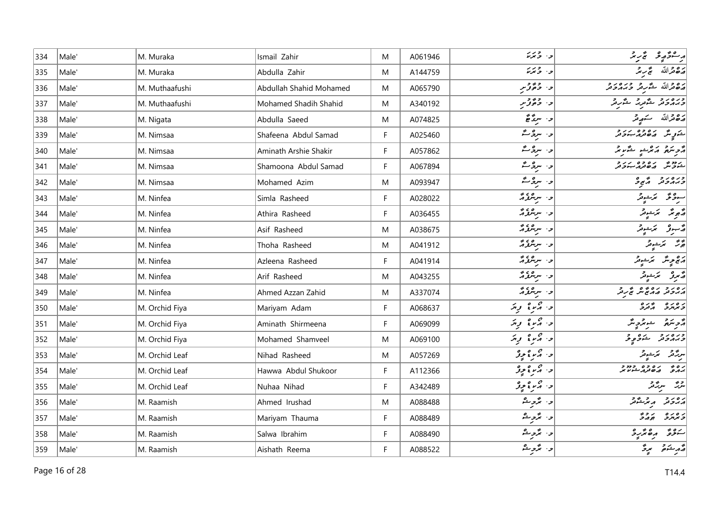| 334 | Male' | M. Muraka      | Ismail Zahir            | M           | A061946 | وسيح ترتما                | ر شۇر قىلىقى بۇر                             |
|-----|-------|----------------|-------------------------|-------------|---------|---------------------------|----------------------------------------------|
| 335 | Male' | M. Muraka      | Abdulla Zahir           | M           | A144759 | والمتحميمة                | برە قراللە گەرىمە                            |
| 336 | Male' | M. Muthaafushi | Abdullah Shahid Mohamed | M           | A065790 | و . وه و د                | بره والله څرمز وره دو                        |
| 337 | Male' | M. Muthaafushi | Mohamed Shadih Shahid   | M           | A340192 | و . وهڅو پر               | ورەرو شەرق شەرق                              |
| 338 | Male' | M. Nigata      | Abdulla Saeed           | ${\sf M}$   | A074825 | ا د . سرگەنتخ<br>سىسىمىسى | رەقەللە سەرتىر                               |
| 339 | Male' | M. Nimsaa      | Shafeena Abdul Samad    | F           | A025460 | د. سرد گ                  | شكويتر مكافره بردد                           |
| 340 | Male' | M. Nimsaa      | Aminath Arshie Shakir   | F           | A057862 | د. سرد گ                  | أزويتهم أرتكت بشرير                          |
| 341 | Male' | M. Nimsaa      | Shamoona Abdul Samad    | F           | A067894 | د. سرد گ                  | ردوم ده وه رد و<br>شورش هامهر مسوفر          |
| 342 | Male' | M. Nimsaa      | Mohamed Azim            | M           | A093947 | د. سرد مش                 | כי מי כי "מי ה"ם כ                           |
| 343 | Male' | M. Ninfea      | Simla Rasheed           | F           | A028022 | د. سرسروم                 | سوۋۇ - ئەھمۇ                                 |
| 344 | Male' | M. Ninfea      | Athira Rasheed          | F           | A036455 | د. سرسروم                 | مەبولە كەندىر                                |
| 345 | Male' | M. Ninfea      | Asif Rasheed            | M           | A038675 | د. سرسرو پر               | وگر بر و مر شوند<br>اور مر سوند              |
| 346 | Male' | M. Ninfea      | Thoha Rasheed           | M           | A041912 | د. سرسروم د               | ەر<br>بۇرى ئىمىشىرىمە                        |
| 347 | Male' | M. Ninfea      | Azleena Rasheed         | $\mathsf F$ | A041914 | د. سرسرومج                | رە پەيدىگر ئىمكىشونگر<br>مەنتى               |
| 348 | Male' | M. Ninfea      | Arif Rasheed            | M           | A043255 | د. سرسرگرگر               | ە بىرو كىرىشونىر<br>مەسرى                    |
| 349 | Male' | M. Ninfea      | Ahmed Azzan Zahid       | ${\sf M}$   | A337074 | د. سرسروم                 |                                              |
| 350 | Male' | M. Orchid Fiya | Mariyam Adam            | F           | A068637 | احز ومبره ومز             | נים נים ניים בינים.<br>כי <i>ניתים ה</i> נקב |
| 351 | Male' | M. Orchid Fiya | Aminath Shirmeena       | $\mathsf F$ | A069099 | احر ويده ومز              | مەر ئىكە ئىسىمىيە ئىگە                       |
| 352 | Male' | M. Orchid Fiya | Mohamed Shamveel        | ${\sf M}$   | A069100 | د. مړينې ومر              | ورەرو شەھ بۇ                                 |
| 353 | Male' | M. Orchid Leaf | Nihad Rasheed           | M           | A057269 | د. د کمړنۍ پولو           | سرگانگر - مُرْڪونگر-<br>سرگانگر - مُرَڪونگر  |
| 354 | Male' | M. Orchid Leaf | Hawwa Abdul Shukoor     | $\mathsf F$ | A112366 | د. دې ؟ د د د             | ره د محمد ده در در د<br>براد د کامل کردند    |
| 355 | Male' | M. Orchid Leaf | Nuhaa Nihad             | F           | A342489 | د . د موء د د د           | پرسمبر<br>  سربر سربر سربر                   |
| 356 | Male' | M. Raamish     | Ahmed Irushad           | M           | A088488 | د. ئۇرىش                  | ره ر و د و و و د<br>  د برو تر مر بر شوتر    |
| 357 | Male' | M. Raamish     | Mariyam Thauma          | F           | A088489 | و· مُرُوِحْهُ             | پر و بو<br>جوړنو<br>ر ه ر ه                  |
| 358 | Male' | M. Raamish     | Salwa Ibrahim           | F           | A088490 | -<br> حسن مگرمیشو<br> -   | سەۋۇ<br>ەر ھەترىر <i>ۋ</i>                   |
| 359 | Male' | M. Raamish     | Aishath Reema           | F           | A088522 | -<br> و· مگردیشه          | أقهر شوقر مرقر                               |
|     |       |                |                         |             |         |                           |                                              |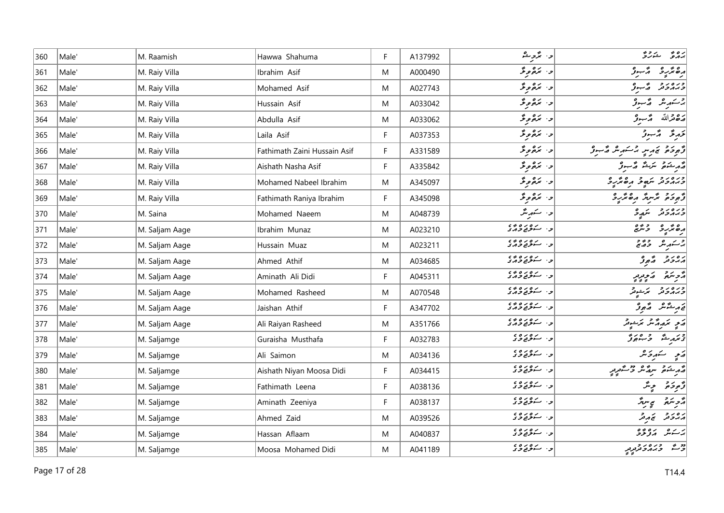| 360 | Male' | M. Raamish     | Hawwa Shahuma                | F           | A137992 | ا د . مگرم شک                                     | برەپچ<br>ستذرقر                              |
|-----|-------|----------------|------------------------------|-------------|---------|---------------------------------------------------|----------------------------------------------|
| 361 | Male' | M. Raiy Villa  | Ibrahim Asif                 | M           | A000490 | د . بره و د گ                                     | ەھ ئۈر ۋ                                     |
| 362 | Male' | M. Raiy Villa  | Mohamed Asif                 | M           | A027743 | ر <sub>سمگ</sub> و <sub>ع</sub> و                 | כנסגב ביתר                                   |
| 363 | Male' | M. Raiy Villa  | Hussain Asif                 | M           | A033042 | —<br>ا <sup>ح .</sup> ئىقۇمۇقى                    | چرىسىم ھەسىرى                                |
| 364 | Male' | M. Raiy Villa  | Abdulla Asif                 | M           | A033062 | د· ئرگۇرۇ                                         | مَصْعَدِاللّهِ مَرْجَعَ                      |
| 365 | Male' | M. Raiy Villa  | Laila Asif                   | $\mathsf F$ | A037353 | ى ئىق <sub>ۇ</sub> مۇ                             | ىمەنۇ ئەسىر                                  |
| 366 | Male' | M. Raiy Villa  | Fathimath Zaini Hussain Asif | F           | A331589 | د· ئىگ <sub>ە</sub> مۇمۇ                          | ۋە ئە ئەرىپە ئەسەر شەر ق                     |
| 367 | Male' | M. Raiy Villa  | Aishath Nasha Asif           | $\mathsf F$ | A335842 | —<br> د· ئىقومۇ                                   | مەرىشىمى سىنگە مەجبىر                        |
| 368 | Male' | M. Raiy Villa  | Mohamed Nabeel Ibrahim       | M           | A345097 | [ر. ئىۋە <sub>م</sub> ۇ                           | ورەرو شھر مەھرىر                             |
| 369 | Male' | M. Raiy Villa  | Fathimath Raniya Ibrahim     | F           | A345098 | <sub>ح</sub> ، ئى <sub>م</sub> ۇم <sub>ۇ</sub> مۇ | توجوحو مرسرته مرکبر                          |
| 370 | Male' | M. Saina       | Mohamed Naeem                | M           | A048739 | ى سىگەرىش                                         | ورەرو شەۋ                                    |
| 371 | Male' | M. Saljam Aage | Ibrahim Munaz                | M           | A023210 | و . ستوقع و و و ،<br>و . ستوقع و در د             | رەپرىر دىرە                                  |
| 372 | Male' | M. Saljam Aage | Hussain Muaz                 | M           | A023211 | و . شود و و و و<br>و . شود و د و                  | جر شهر شده و در م                            |
| 373 | Male' | M. Saljam Aage | Ahmed Athif                  | M           | A034685 | و . ستوقع و پر و<br>و . ستوقع و پر و              | برەر ئە ئەر                                  |
| 374 | Male' | M. Saljam Aage | Aminath Ali Didi             | F           | A045311 | و . شود و و و .<br>و . شود و د د                  | أتروسكم أأتمومومر                            |
| 375 | Male' | M. Saljam Aage | Mohamed Rasheed              | M           | A070548 | و . ستوقع و پر ه<br>و . ستوقع و پر ی              | وره رو گرشونگر<br>ح <i>پر ه</i> ونگر گرشونگر |
| 376 | Male' | M. Saljam Aage | Jaishan Athif                | F           | A347702 | و . ستوقع و و پ                                   | قەرشىش شور                                   |
| 377 | Male' | M. Saljam Aage | Ali Raiyan Rasheed           | M           | A351766 | و . ستوقع و و پم<br>و . ستوقع و درو               | كالمج الكرمركانات الكرشوند                   |
| 378 | Male' | M. Saljamge    | Guraisha Musthafa            | F           | A032783 | و .   روم و ه و و<br>و .   ستوقع و ی              | ويمدث وجوز                                   |
| 379 | Male' | M. Saljamge    | Ali Saimon                   | M           | A034136 | و، ستوقع و و                                      | ړې شرکر                                      |
| 380 | Male' | M. Saljamge    | Aishath Niyan Moosa Didi     | F           | A034415 | د . روده ،<br>د . ستوقع د د                       | ر<br>ג'ו ג'ב יקג'ית כ"ב וקנק                 |
| 381 | Male' | M. Saljamge    | Fathimath Leena              | $\mathsf F$ | A038136 | و .   روم و ه ه<br>و .   ستوقع و ی                | ۋەدە دېگر                                    |
| 382 | Male' | M. Saljamge    | Aminath Zeeniya              | F           | A038137 | و .   روم و ه ه<br>و .   ستوقع و ی                | أأرمز المستمرين                              |
| 383 | Male' | M. Saljamge    | Ahmed Zaid                   | M           | A039526 | و .   روم و ه ه<br>و .   ستوقع و ی                | أرور ويحمد                                   |
| 384 | Male' | M. Saljamge    | Hassan Aflaam                | M           | A040837 | د . روده ،<br>د . سنود د د                        | برسەش مۇمۇھ                                  |
| 385 | Male' | M. Saljamge    | Moosa Mohamed Didi           | M           | A041189 | و .     ـرە رە ،<br>و .     ــونو تو د            |                                              |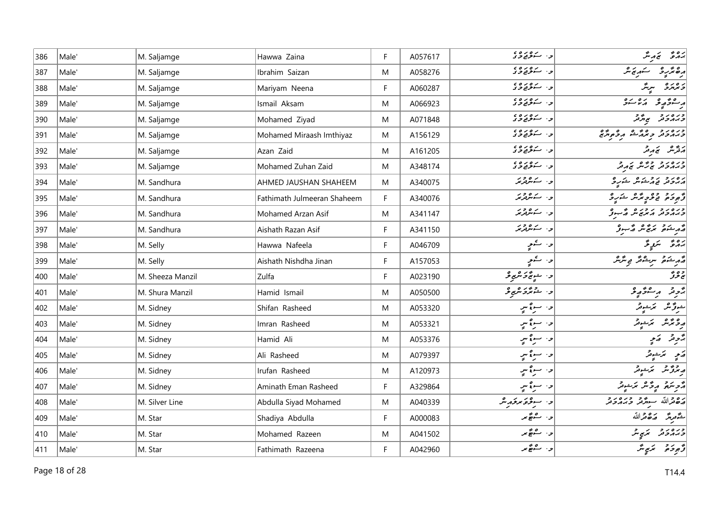| 386 | Male' | M. Saljamge      | Hawwa Zaina                 | F | A057617 | و .   روم و ه ه<br>و .   ستوقع و ی    | برە ئەربىر                                                                                                                                                                                                                       |
|-----|-------|------------------|-----------------------------|---|---------|---------------------------------------|----------------------------------------------------------------------------------------------------------------------------------------------------------------------------------------------------------------------------------|
| 387 | Male' | M. Saljamge      | Ibrahim Saizan              | M | A058276 | و . ستوقع و و                         | ە ھەترىر <sup>ە</sup><br>برھ ترىرى                                                                                                                                                                                               |
| 388 | Male' | M. Saljamge      | Mariyam Neena               | F | A060287 | و، ستوقع و د                          | ويوبره<br>سریٹر                                                                                                                                                                                                                  |
| 389 | Male' | M. Saljamge      | Ismail Aksam                | M | A066923 | و، ستوقع و ی                          | ر عۇرپە ئەربە                                                                                                                                                                                                                    |
| 390 | Male' | M. Saljamge      | Mohamed Ziyad               | M | A071848 | و. ستوقع و پ                          | כנסנכ<br>כגובת <sub>מ</sub> ותל                                                                                                                                                                                                  |
| 391 | Male' | M. Saljamge      | Mohamed Miraash Imthiyaz    | M | A156129 | و .   روم و ه ه<br>و .   ستوقع و ی    | כנסגב סמס סמס<br>כמהכת כמה בי הכתחת                                                                                                                                                                                              |
| 392 | Male' | M. Saljamge      | Azan Zaid                   | M | A161205 | د . روده ،<br>د . سنود د د            | أرقرش تجاريتمر                                                                                                                                                                                                                   |
| 393 | Male' | M. Saljamge      | Mohamed Zuhan Zaid          | M | A348174 |                                       | ورەرو ووھر تم بروژ                                                                                                                                                                                                               |
| 394 | Male' | M. Sandhura      | AHMED JAUSHAN SHAHEEM       | M | A340075 | و. سەندىرىر                           | رەر دېر دېگر ځرگ                                                                                                                                                                                                                 |
| 395 | Male' | M. Sandhura      | Fathimath Julmeeran Shaheem | F | A340076 | و. ڪشھريمر                            | ژُودَهُ ٷڋۑڗ۠ٮۯۦ؊ڔۣڐ                                                                                                                                                                                                             |
| 396 | Male' | M. Sandhura      | Mohamed Arzan Asif          | M | A341147 | و. سەندىرىر                           | כנסגב גבגם שהפר                                                                                                                                                                                                                  |
| 397 | Male' | M. Sandhura      | Aishath Razan Asif          | F | A341150 | و. سەھەتەتە                           | ە ئەستىم ئىتى ئەر ئەسىر                                                                                                                                                                                                          |
| 398 | Male' | M. Selly         | Hawwa Nafeela               | F | A046709 | و- سکوي                               | رَه وَ سَمَدٍ وَّ                                                                                                                                                                                                                |
| 399 | Male' | M. Selly         | Aishath Nishdha Jinan       | F | A157053 | ا پر کے دیا                           | ر<br>رگرمشکو سرمشور میشور                                                                                                                                                                                                        |
| 400 | Male' | M. Sheeza Manzil | Zulfa                       | F | A023190 | د . ڪوپچ <i>و</i> نگرې <sub>ج</sub> و | ە 29 گە                                                                                                                                                                                                                          |
| 401 | Male' | M. Shura Manzil  | Hamid Ismail                | M | A050500 | و. ڪي تر تر شرح ٿر                    | ر<br>ر <sub>وب</sub> ر بر دور                                                                                                                                                                                                    |
| 402 | Male' | M. Sidney        | Shifan Rasheed              | M | A053320 | ح المسوءِ <sub>مير</sub><br>مر        | ا<br>سورگانگر انگرېشونگر                                                                                                                                                                                                         |
| 403 | Male' | M. Sidney        | Imran Rasheed               | M | A053321 | د. سوءِ <sub>سو</sub>                 | أرومرير المرشور                                                                                                                                                                                                                  |
| 404 | Male' | M. Sidney        | Hamid Ali                   | M | A053376 | د، سوءِ سرِ                           | يَّحْرِ مَدْ أَيْرَ إِ                                                                                                                                                                                                           |
| 405 | Male' | M. Sidney        | Ali Rasheed                 | M | A079397 | د . سوءِ <sub>سمي</sub>               | كامي الكرشوقر                                                                                                                                                                                                                    |
| 406 | Male' | M. Sidney        | Irufan Rasheed              | M | A120973 | د. سوءِ <sub>سر</sub>                 |                                                                                                                                                                                                                                  |
| 407 | Male' | M. Sidney        | Aminath Eman Rasheed        | F | A329864 | د، سوءِ سرِ                           | ה<br>הכיתה הכית תייבת                                                                                                                                                                                                            |
| 408 | Male' | M. Silver Line   | Abdulla Siyad Mohamed       | M | A040339 | و سوء مروَ بر ش                       | ره و الله سورتر و ره د و<br>مصرالله سورتر و برمرد                                                                                                                                                                                |
| 409 | Male' | M. Star          | Shadiya Abdulla             | F | A000083 | ر ، سۇھاير                            | شمورتر ضرة ترالله                                                                                                                                                                                                                |
| 410 | Male' | M. Star          | Mohamed Razeen              | M | A041502 | ر ، سۇھاير                            | ד ממיד האמית האידורי היו האידורי היו היו היו היו היו היו ליידי היו היו ליידי ביו היו ליידי ביו ליידי ביו ליידי<br>קישוב האידורי האידורי האידורי היו ליידי האידורי היו ליידי האידורי האידורי האידורי האידורי האידורי היו ליידי לי |
| 411 | Male' | M. Star          | Fathimath Razeena           | F | A042960 | و· سگھُ مر                            | تزجوخا تربي متر                                                                                                                                                                                                                  |
|     |       |                  |                             |   |         |                                       |                                                                                                                                                                                                                                  |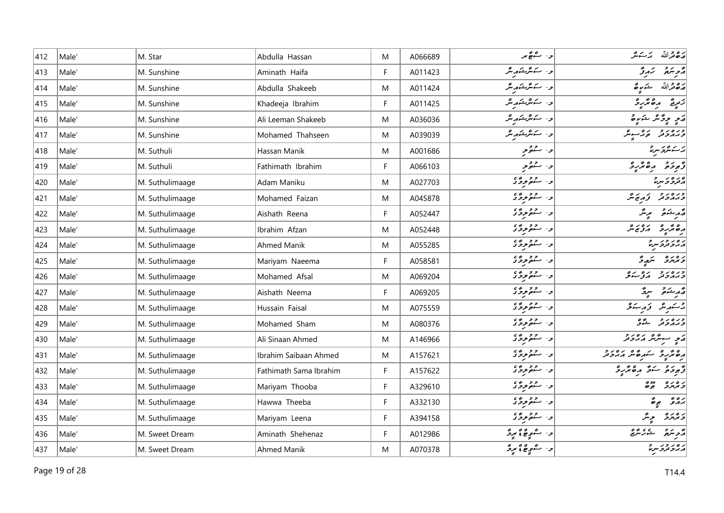| 412 | Male' | M. Star         | Abdulla Hassan         | M           | A066689 | ر ، سۇھاير                         | برە تراللە<br>برسەمىر                         |
|-----|-------|-----------------|------------------------|-------------|---------|------------------------------------|-----------------------------------------------|
| 413 | Male' | M. Sunshine     | Aminath Haifa          | F           | A011423 | ر سەھرىش <sub>ى</sub> ر ھ          | أثر حريره<br>ىز بەرىخ                         |
| 414 | Male' | M. Sunshine     | Abdulla Shakeeb        | M           | A011424 | <mark>و. سەنئۇر</mark> بىر         | مَهْ قَرَاللّه خَدَمَ هُ                      |
| 415 | Male' | M. Sunshine     | Khadeeja Ibrahim       | F           | A011425 | <mark>و، سەھرىشەر</mark> بىر       | ئر توريخ<br>موقع                              |
| 416 | Male' | M. Sunshine     | Ali Leeman Shakeeb     | M           | A036036 | ى سەئىرىشەر بىر<br>.               | ړې پېژنر شړه                                  |
| 417 | Male' | M. Sunshine     | Mohamed Thahseen       | M           | A039039 | ى سەشرىشىرىش                       | وره د ده ده به                                |
| 418 | Male' | M. Suthuli      | Hassan Manik           | ${\sf M}$   | A001686 | د. سنهجو                           | بركسكونجريرة                                  |
| 419 | Male' | M. Suthuli      | Fathimath Ibrahim      | F           | A066103 | -<br> وستموم                       | توجدة مقتررة                                  |
| 420 | Male' | M. Suthulimaage | Adam Maniku            | M           | A027703 | و . سوگورو .<br>د . سوگورو .       | و ده د سره<br>م <sup>ح</sup> ترو د سره        |
| 421 | Male' | M. Suthulimaage | Mohamed Faizan         | ${\sf M}$   | A045878 | و . روو ده و.<br>د . سعونونو د     | כלפלב בתואים                                  |
| 422 | Male' | M. Suthulimaage | Aishath Reena          | F           | A052447 | و . روو ده و.<br>د . سعونونو د     | وكرمشكو بريگر                                 |
| 423 | Male' | M. Suthulimaage | Ibrahim Afzan          | ${\sf M}$   | A052448 | و . روم و و .<br>د . سعوم و د د    | رە ئەر ئەرى ئە                                |
| 424 | Male' | M. Suthulimaage | <b>Ahmed Manik</b>     | M           | A055285 | و . روو ده پا<br>و . سعو توری      | ر ۲۰۰۵ ور<br>ג ژ ژ ژ ژ سربا                   |
| 425 | Male' | M. Suthulimaage | Mariyam Naeema         | $\mathsf F$ | A058581 | و . شمه د و .<br>د . شمه د د د     | במתכ" יתגל                                    |
| 426 | Male' | M. Suthulimaage | Mohamed Afsal          | ${\sf M}$   | A069204 | و . روو ده و.<br>و . سعو و و د     | ورەرو رەپرە<br><i>دىدە</i> رىر م <i>ۆ</i> جى  |
| 427 | Male' | M. Suthulimaage | Aishath Neema          | F           | A069205 | د دوده<br>د سوگودی                 | أمار منكوم المسرم                             |
| 428 | Male' | M. Suthulimaage | Hussain Faisal         | M           | A075559 | و . روو ده »<br>و . سعو توری       | وستهرش تصبحو                                  |
| 429 | Male' | M. Suthulimaage | Mohamed Sham           | ${\sf M}$   | A080376 | و . روو ده و.<br>و . سعو و و د     | ورەر دەر ئە                                   |
| 430 | Male' | M. Suthulimaage | Ali Sinaan Ahmed       | ${\sf M}$   | A146966 | د . مشهوره د .<br>او . مشهوره د    | ړې سرسر کرورو                                 |
| 431 | Male' | M. Suthulimaage | Ibrahim Saibaan Ahmed  | M           | A157621 | و. سنوفرونو و                      | مەھەر بەر ئەم مەدر                            |
| 432 | Male' | M. Suthulimaage | Fathimath Sama Ibrahim | $\mathsf F$ | A157622 | و . روو و .<br>و . سعونونو د       | توجدة سنؤ مقتررة                              |
| 433 | Male' | M. Suthulimaage | Mariyam Thooba         | $\mathsf F$ | A329610 | و . روو ده و.<br>د . سعو تورد د    | دون<br>جوځ<br>ر ه بر ه<br><del>د</del> بربر د |
| 434 | Male' | M. Suthulimaage | Hawwa Theeba           | F           | A332130 | و . روو و .<br>و . سعونونو د       | برە پى<br>جوحَّ                               |
| 435 | Male' | M. Suthulimaage | Mariyam Leena          | F           | A394158 | و . روو و .<br>و . ستمونونو .<br>م | ويربرو<br>پوستر<br>پ                          |
| 436 | Male' | M. Sweet Dream  | Aminath Shehenaz       | F           | A012986 |                                    | شەر شرچ<br>ړ څر سره                           |
| 437 | Male' | M. Sweet Dream  | <b>Ahmed Manik</b>     | M           | A070378 | د . سگوه علاو د د                  | ړه رور په                                     |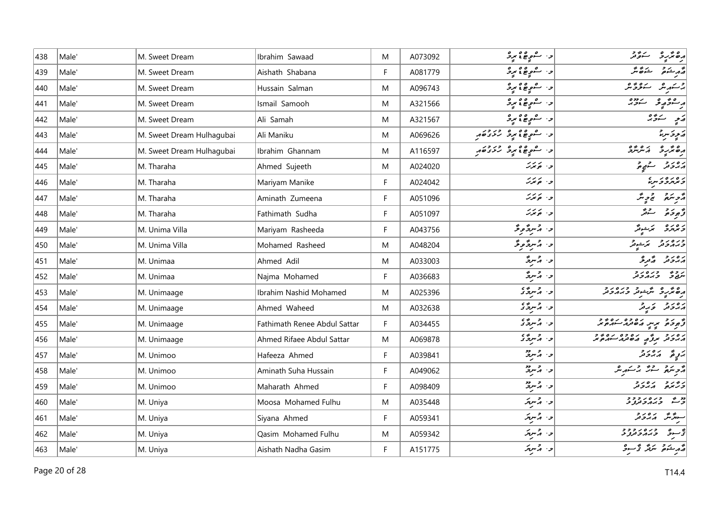| 438 | Male' | M. Sweet Dream            | Ibrahim Sawaad               | M           | A073092 | ر. گ <sub>و</sub> ءِ ۽ <sub>مر</sub> و                                                 | سەھ تىر<br>ەر ھەترىر ۋ                                 |
|-----|-------|---------------------------|------------------------------|-------------|---------|----------------------------------------------------------------------------------------|--------------------------------------------------------|
| 439 | Male' | M. Sweet Dream            | Aishath Shabana              | F           | A081779 | د . ڪوچ ۽ برو                                                                          | پ <sup>ر</sup> برختمو<br>مرب<br>شەھ ئىر                |
| 440 | Male' | M. Sweet Dream            | Hussain Salman               | M           | A096743 | د . گو <sub>م</sub> وه و د و                                                           | 2 مەر بىر مەدەبىر<br>مەر بىر                           |
| 441 | Male' | M. Sweet Dream            | Ismail Samooh                | M           | A321566 | د . گو <sub>م</sub> وه و د و                                                           | وستوقيعه<br>سەدەر                                      |
| 442 | Male' | M. Sweet Dream            | Ali Samah                    | M           | A321567 | د . سوءٍ هو د و                                                                        | $25 - 26$                                              |
| 443 | Male' | M. Sweet Dream Hulhagubai | Ali Maniku                   | M           | A069626 | د . سوءٍ عاءٍ و مرد در در در در استفاده بر<br>مرد استور عام در مرد در در در استفاده بر | ە ئىرىر ئىرىد<br>ئى                                    |
| 444 | Male' | M. Sweet Dream Hulhagubai | Ibrahim Ghannam              | M           | A116597 | - موقع مرد رود                                                                         | $rac{2}{3}$<br>ۇ ئىرىتر <i>ى</i> ر                     |
| 445 | Male' | M. Tharaha                | Ahmed Sujeeth                | M           | A024020 | ە بە ئەتەر                                                                             | رەر دەر ئەرە<br>مەركى سى <i>م</i>                      |
| 446 | Male' | M. Tharaha                | Mariyam Manike               | F           | A024042 | وستحريخرك                                                                              | رەرەر                                                  |
| 447 | Male' | M. Tharaha                | Aminath Zumeena              | F           | A051096 | و به نوټرک                                                                             | تح حر مگر<br>أرمز ترة                                  |
| 448 | Male' | M. Tharaha                | Fathimath Sudha              | F           | A051097 | وسيمركز                                                                                | سەۋىر<br>وٌ جو رَ ح                                    |
| 449 | Male' | M. Unima Villa            | Mariyam Rasheeda             | $\mathsf F$ | A043756 | د· م <sup>ع</sup> سرد گورځه                                                            | رەرە يەجەد                                             |
| 450 | Male' | M. Unima Villa            | Mohamed Rasheed              | M           | A048204 | د به مریز و ژ                                                                          | ورەرو ترشيتر                                           |
| 451 | Male' | M. Unimaa                 | Ahmed Adil                   | M           | A033003 | د . مه شرد                                                                             | أرور ويمرو                                             |
| 452 | Male' | M. Unimaa                 | Najma Mohamed                | F           | A036683 | و . ه پهرنگ                                                                            | ر و به دره ر و<br>سرچ د کربر کر                        |
| 453 | Male' | M. Unimaage               | Ibrahim Nashid Mohamed       | M           | A025396 | و . م <sup>و</sup> سرچر                                                                | رە ئەرە ئەسىر دىرەرد<br>بەھەرىي ئەسىر دىمەدىر          |
| 454 | Male' | M. Unimaage               | Ahmed Waheed                 | M           | A032638 | د . ر <sup>و</sup> سردگی                                                               | پره پر ته توپه تر                                      |
| 455 | Male' | M. Unimaage               | Fathimath Renee Abdul Sattar | F           | A034455 | د . ر <sup>و</sup> سردگی                                                               | י הר הר הסבט הסביר החייבה<br>צהב כם המיית השבנה החייבה |
| 456 | Male' | M. Unimaage               | Ahmed Rifaee Abdul Sattar    | M           | A069878 | و . م <sup>و</sup> سرچ <sup>ی</sup>                                                    |                                                        |
| 457 | Male' | M. Unimoo                 | Hafeeza Ahmed                | F           | A039841 | כי המינדי                                                                              | برَوٍ يُورُدُ مَدَّ                                    |
| 458 | Male' | M. Unimoo                 | Aminath Suha Hussain         | $\mathsf F$ | A049062 | י ה"תב"                                                                                | ۇ ئەسمى سىز بر سەر بىر                                 |
| 459 | Male' | M. Unimoo                 | Maharath Ahmed               | F           | A098409 | כ ו המינדי                                                                             | ر د ده ده د و د<br>ترکر د بر د برگر تر                 |
| 460 | Male' | M. Uniya                  | Moosa Mohamed Fulhu          | M           | A035448 | د به مهر                                                                               | دو دره د د د<br>و شد د بر د ترو د                      |
| 461 | Male' | M. Uniya                  | Siyana Ahmed                 | F           | A059341 | د به مهنگر                                                                             | سەۋش مەردىر                                            |
| 462 | Male' | M. Uniya                  | Qasim Mohamed Fulhu          | M           | A059342 | د. مەسىر                                                                               | ۇ سەۋ<br>و ره ر و و و<br>تر پر تر تر تر تر             |
| 463 | Male' | M. Uniya                  | Aishath Nadha Gasim          | F           | A151775 | و . مرسمتر                                                                             | مەر شەق سەتگە تۇسىنى                                   |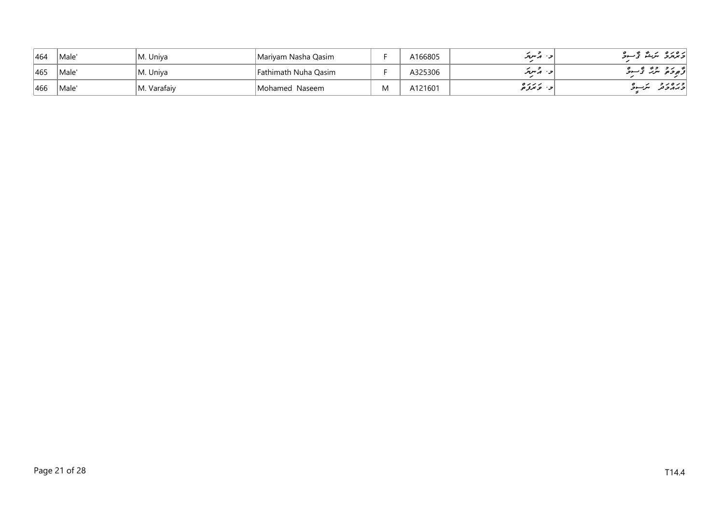| 464 | Male | M. Uniya     | Mariyam Nasha Qasim  |   | A166805 | ا و ۰ سرس                                                             | د ۱۵ د صريقه تخ ساو            |
|-----|------|--------------|----------------------|---|---------|-----------------------------------------------------------------------|--------------------------------|
| 465 | Male | M. Uniya     | Fathimath Nuha Qasim |   | 4325306 | برسومر                                                                | ا تر جر حر<br>- سربر - تو سسور |
| 466 | Male | IM. Varafaiv | Mohamed<br>Naseem    | M | A121601 | $\mathcal{O} \times \mathcal{O} \times \mathcal{O}$<br>  ح. و بمرثومی | フンロンコ<br>  ز بر در تر<br>سرسيو |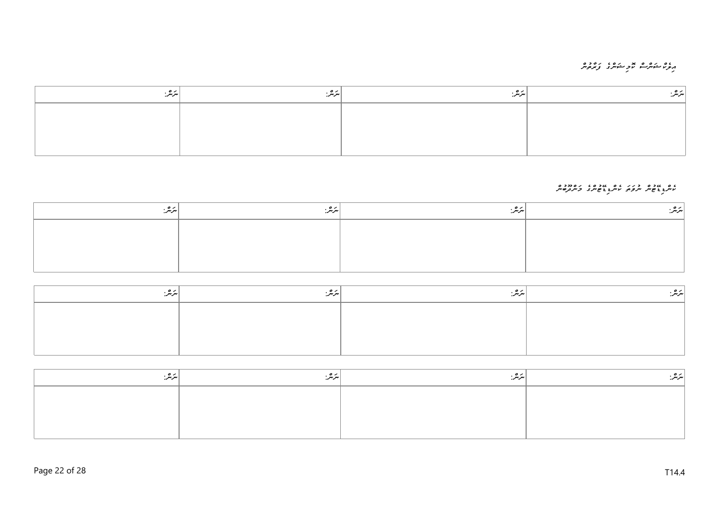## *w7qAn8m? sCw7mRo>u; wEw7mRw;sBo<*

| ' مرمر | 'يئرىثر: |
|--------|----------|
|        |          |
|        |          |
|        |          |

## *w7q9r@w7m> sCw7qHtFoFw7s; mAm=q7 w7qHtFoFw7s;*

| ىر تە | $\mathcal{O} \times$<br>$\sim$ | $\sim$<br>. . | لترنثر |
|-------|--------------------------------|---------------|--------|
|       |                                |               |        |
|       |                                |               |        |
|       |                                |               |        |

| انترنثر: | $^{\circ}$ | يبرهر | $^{\circ}$<br>سرسر |
|----------|------------|-------|--------------------|
|          |            |       |                    |
|          |            |       |                    |
|          |            |       |                    |

| ' ئىرتىر: | سر سر |  |
|-----------|-------|--|
|           |       |  |
|           |       |  |
|           |       |  |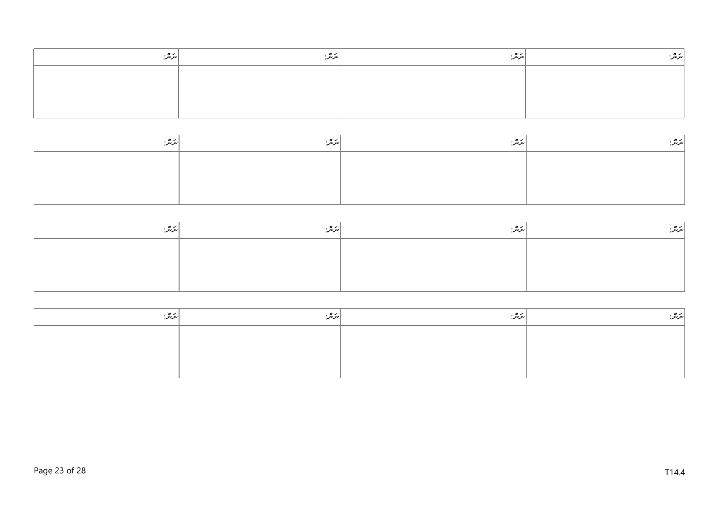| يره. | ο. | ا ير ه |  |
|------|----|--------|--|
|      |    |        |  |
|      |    |        |  |
|      |    |        |  |

| <sup>.</sup> سرسر. |  |
|--------------------|--|
|                    |  |
|                    |  |
|                    |  |

| ىئرىتر. | $\sim$ | ا بر هه. | لىرىش |
|---------|--------|----------|-------|
|         |        |          |       |
|         |        |          |       |
|         |        |          |       |

| 。<br>مرس. | $\overline{\phantom{a}}$<br>مر سر | يتريثر |
|-----------|-----------------------------------|--------|
|           |                                   |        |
|           |                                   |        |
|           |                                   |        |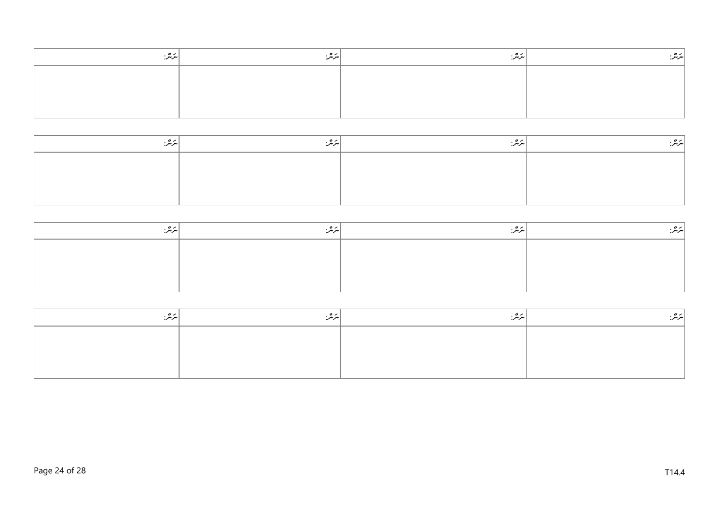| ير هو . | $\overline{\phantom{a}}$ | يرمر | اير هنه. |
|---------|--------------------------|------|----------|
|         |                          |      |          |
|         |                          |      |          |
|         |                          |      |          |

| ئىرتىر: | $\sim$<br>ا سرسر . | يئرمثر | o . |
|---------|--------------------|--------|-----|
|         |                    |        |     |
|         |                    |        |     |
|         |                    |        |     |

| 'تترنثر: | 。<br>,,,, |  |
|----------|-----------|--|
|          |           |  |
|          |           |  |
|          |           |  |

|  | . ه |
|--|-----|
|  |     |
|  |     |
|  |     |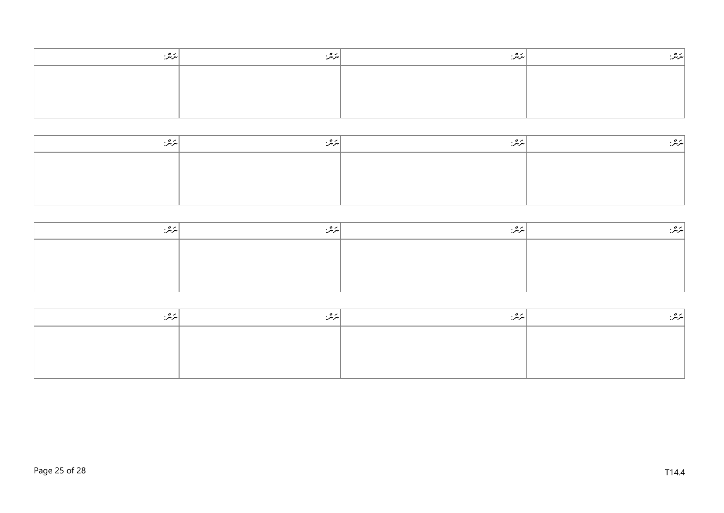| ير هو . | $\overline{\phantom{a}}$ | يرمر | اير هنه. |
|---------|--------------------------|------|----------|
|         |                          |      |          |
|         |                          |      |          |
|         |                          |      |          |

| ىر تىر: | $\circ$ $\sim$<br>" سرسر . | يترمير | o . |
|---------|----------------------------|--------|-----|
|         |                            |        |     |
|         |                            |        |     |
|         |                            |        |     |

| انترنثر: | ر ه |  |
|----------|-----|--|
|          |     |  |
|          |     |  |
|          |     |  |

|  | . ه |
|--|-----|
|  |     |
|  |     |
|  |     |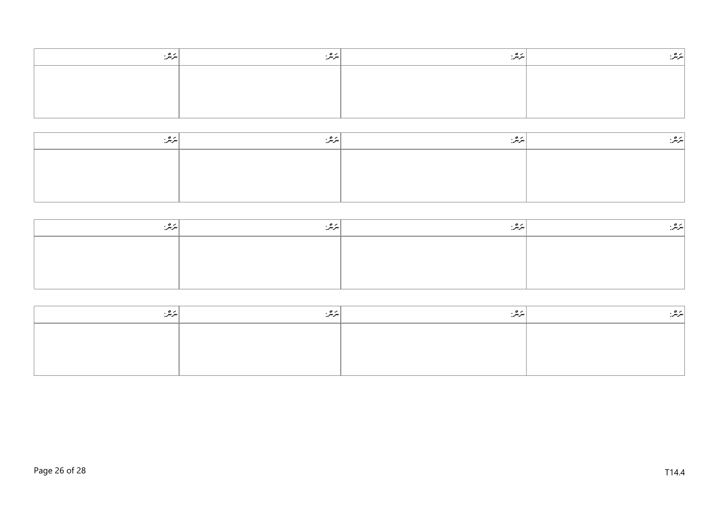| $\cdot$ | ο. | $\frac{\circ}{\cdot}$ | $\sim$<br>سرسر |
|---------|----|-----------------------|----------------|
|         |    |                       |                |
|         |    |                       |                |
|         |    |                       |                |

| ايرعر: | ر ه<br>. . |  |
|--------|------------|--|
|        |            |  |
|        |            |  |
|        |            |  |

| بر ه | 。 | $\sim$<br>َ سومس. |  |
|------|---|-------------------|--|
|      |   |                   |  |
|      |   |                   |  |
|      |   |                   |  |

| 。<br>. س | ىرىىر |  |
|----------|-------|--|
|          |       |  |
|          |       |  |
|          |       |  |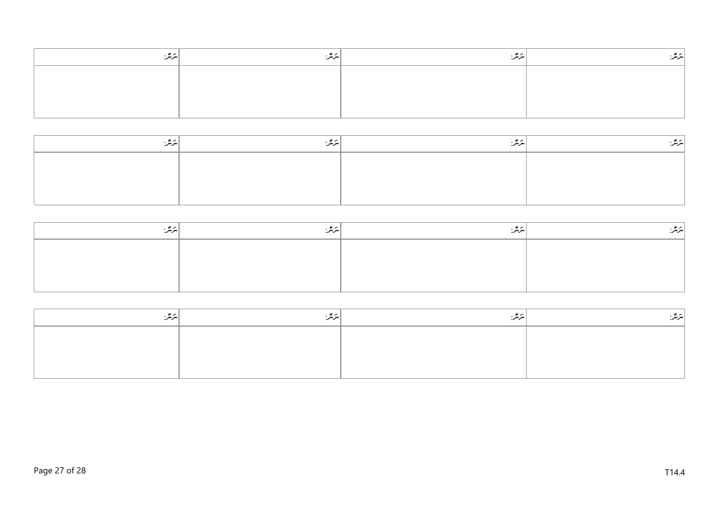| ير هو . | $\overline{\phantom{a}}$ | يرمر | لتزمثن |
|---------|--------------------------|------|--------|
|         |                          |      |        |
|         |                          |      |        |
|         |                          |      |        |

| ئىرتىر: | $\sim$<br>ا سرسر . | يئرمثر | o . |
|---------|--------------------|--------|-----|
|         |                    |        |     |
|         |                    |        |     |
|         |                    |        |     |

| الترنثر: | ' مرتكز: | الترنثر: | .,<br>سرسر. |
|----------|----------|----------|-------------|
|          |          |          |             |
|          |          |          |             |
|          |          |          |             |

|  | . ه |
|--|-----|
|  |     |
|  |     |
|  |     |